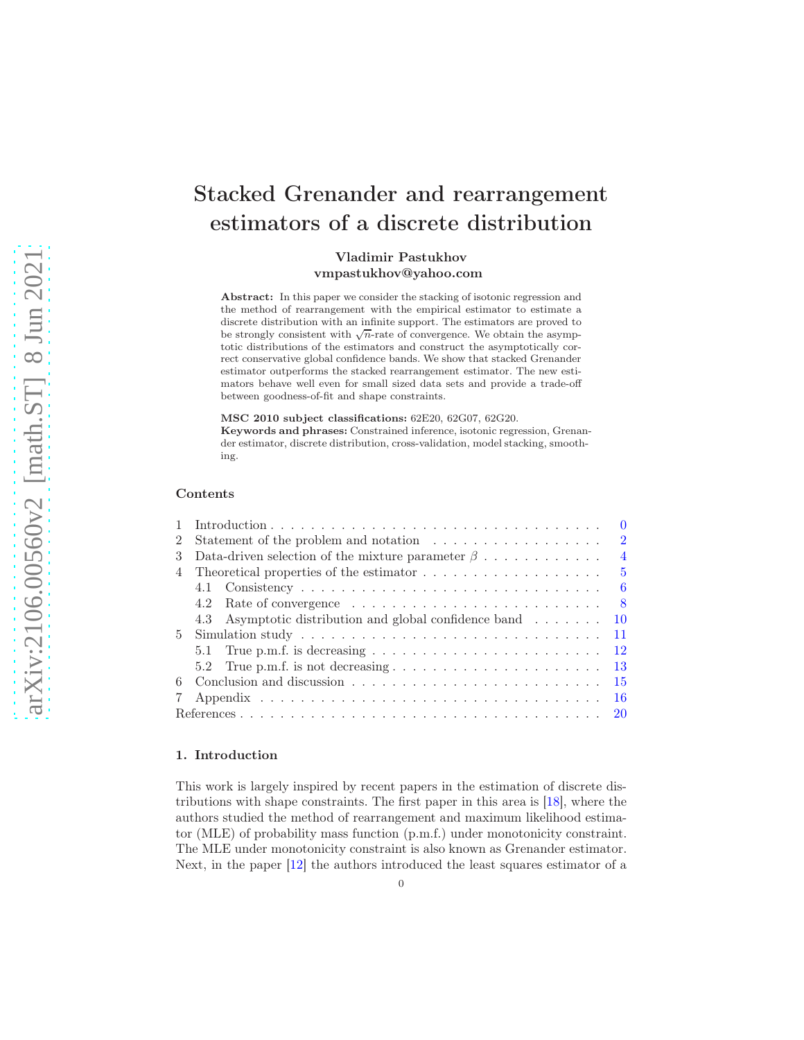# Stacked Grenander and rearrangement estimators of a discrete distribution

# Vladimir Pastukhov vmpastukhov@yahoo.com

Abstract: In this paper we consider the stacking of isotonic regression and the method of rearrangement with the empirical estimator to estimate a discrete distribution with an infinite support. The estimators are proved to be strongly consistent with  $\sqrt{n}$ -rate of convergence. We obtain the asymptotic distributions of the estimators and construct the asymptotically correct conservative global confidence bands. We show that stacked Grenander estimator outperforms the stacked rearrangement estimator. The new estimators behave well even for small sized data sets and provide a trade-off between goodness-of-fit and shape constraints.

MSC 2010 subject classifications: 62E20, 62G07, 62G20.

Keywords and phrases: Constrained inference, isotonic regression, Grenander estimator, discrete distribution, cross-validation, model stacking, smoothing.

#### Contents

|                |                                                                                         | $\Omega$       |
|----------------|-----------------------------------------------------------------------------------------|----------------|
| $\overline{2}$ | Statement of the problem and notation                                                   | $\overline{2}$ |
| 3              | Data-driven selection of the mixture parameter $\beta$                                  | $\overline{4}$ |
| 4              |                                                                                         | $\overline{5}$ |
|                |                                                                                         | 6              |
|                |                                                                                         | - 8            |
|                | 4.3 Asymptotic distribution and global confidence band                                  | 10             |
|                |                                                                                         | -11            |
|                | 5.1 True p.m.f. is decreasing $\ldots \ldots \ldots \ldots \ldots \ldots \ldots \ldots$ | 12             |
|                |                                                                                         | 13             |
| 6              |                                                                                         | -15            |
|                |                                                                                         | -16            |
|                |                                                                                         | -20            |

#### <span id="page-0-0"></span>1. Introduction

This work is largely inspired by recent papers in the estimation of discrete distributions with shape constraints. The first paper in this area is [\[18](#page-21-0)], where the authors studied the method of rearrangement and maximum likelihood estimator (MLE) of probability mass function (p.m.f.) under monotonicity constraint. The MLE under monotonicity constraint is also known as Grenander estimator. Next, in the paper [\[12\]](#page-21-1) the authors introduced the least squares estimator of a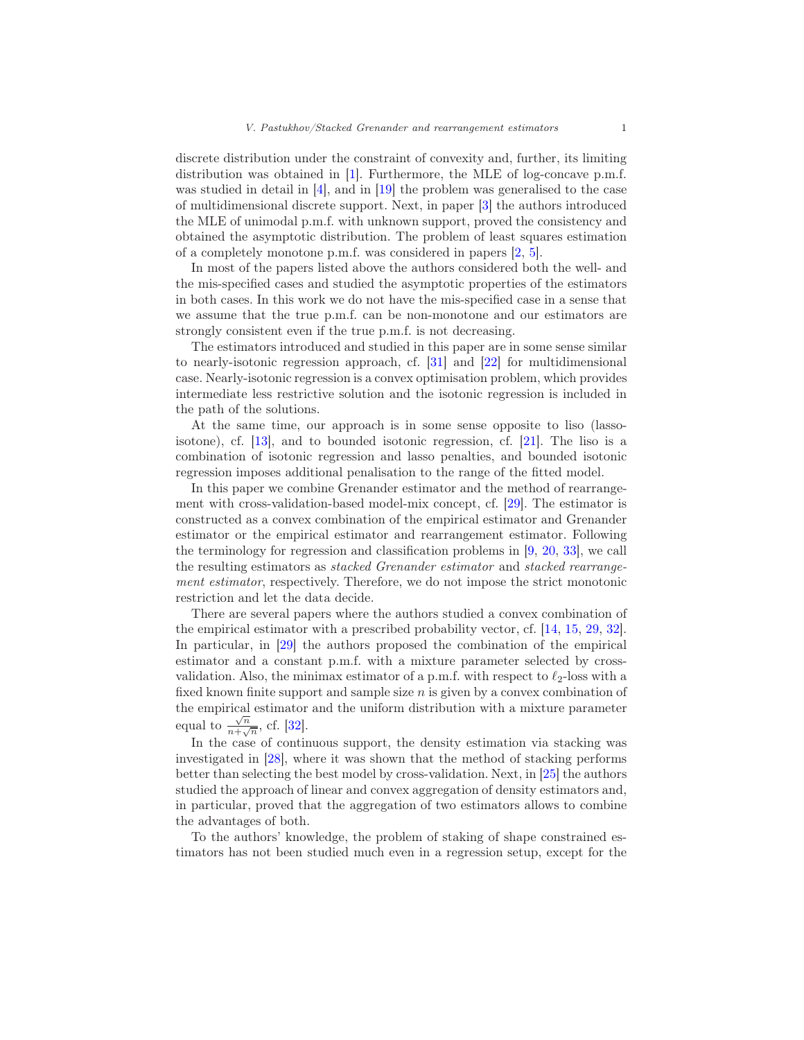discrete distribution under the constraint of convexity and, further, its limiting distribution was obtained in [\[1\]](#page-20-1). Furthermore, the MLE of log-concave p.m.f. was studied in detail in [\[4](#page-20-2)], and in [\[19\]](#page-21-2) the problem was generalised to the case of multidimensional discrete support. Next, in paper [\[3](#page-20-3)] the authors introduced the MLE of unimodal p.m.f. with unknown support, proved the consistency and obtained the asymptotic distribution. The problem of least squares estimation of a completely monotone p.m.f. was considered in papers [\[2](#page-20-4), [5](#page-20-5)].

In most of the papers listed above the authors considered both the well- and the mis-specified cases and studied the asymptotic properties of the estimators in both cases. In this work we do not have the mis-specified case in a sense that we assume that the true p.m.f. can be non-monotone and our estimators are strongly consistent even if the true p.m.f. is not decreasing.

The estimators introduced and studied in this paper are in some sense similar to nearly-isotonic regression approach, cf. [\[31\]](#page-22-0) and [\[22\]](#page-21-3) for multidimensional case. Nearly-isotonic regression is a convex optimisation problem, which provides intermediate less restrictive solution and the isotonic regression is included in the path of the solutions.

At the same time, our approach is in some sense opposite to liso (lassoisotone), cf. [\[13\]](#page-21-4), and to bounded isotonic regression, cf. [\[21\]](#page-21-5). The liso is a combination of isotonic regression and lasso penalties, and bounded isotonic regression imposes additional penalisation to the range of the fitted model.

In this paper we combine Grenander estimator and the method of rearrangement with cross-validation-based model-mix concept, cf. [\[29](#page-22-1)]. The estimator is constructed as a convex combination of the empirical estimator and Grenander estimator or the empirical estimator and rearrangement estimator. Following the terminology for regression and classification problems in [\[9,](#page-20-6) [20](#page-21-6), [33](#page-22-2)], we call the resulting estimators as *stacked Grenander estimator* and *stacked rearrangement estimator*, respectively. Therefore, we do not impose the strict monotonic restriction and let the data decide.

There are several papers where the authors studied a convex combination of the empirical estimator with a prescribed probability vector, cf. [\[14,](#page-21-7) [15,](#page-21-8) [29](#page-22-1), [32\]](#page-22-3). In particular, in [\[29](#page-22-1)] the authors proposed the combination of the empirical estimator and a constant p.m.f. with a mixture parameter selected by crossvalidation. Also, the minimax estimator of a p.m.f. with respect to  $\ell_2$ -loss with a fixed known finite support and sample size  $n$  is given by a convex combination of the empirical estimator and the uniform distribution with a mixture parameter equal to  $\frac{\sqrt{n}}{n+\sqrt{n}}$  $\frac{\sqrt{n}}{n+\sqrt{n}}$ , cf. [\[32\]](#page-22-3).

In the case of continuous support, the density estimation via stacking was investigated in [\[28\]](#page-21-9), where it was shown that the method of stacking performs better than selecting the best model by cross-validation. Next, in [\[25\]](#page-21-10) the authors studied the approach of linear and convex aggregation of density estimators and, in particular, proved that the aggregation of two estimators allows to combine the advantages of both.

To the authors' knowledge, the problem of staking of shape constrained estimators has not been studied much even in a regression setup, except for the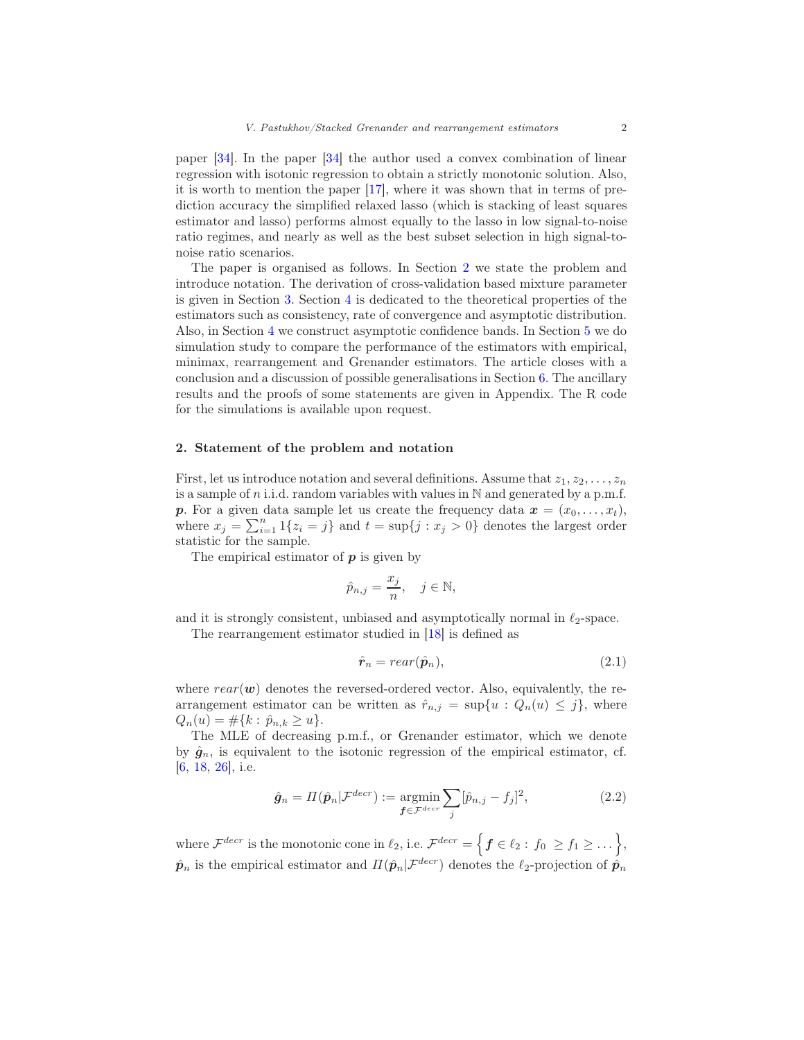paper [\[34\]](#page-22-4). In the paper [\[34](#page-22-4)] the author used a convex combination of linear regression with isotonic regression to obtain a strictly monotonic solution. Also, it is worth to mention the paper [\[17\]](#page-21-11), where it was shown that in terms of prediction accuracy the simplified relaxed lasso (which is stacking of least squares estimator and lasso) performs almost equally to the lasso in low signal-to-noise ratio regimes, and nearly as well as the best subset selection in high signal-tonoise ratio scenarios.

The paper is organised as follows. In Section [2](#page-2-0) we state the problem and introduce notation. The derivation of cross-validation based mixture parameter is given in Section [3.](#page-4-0) Section [4](#page-5-0) is dedicated to the theoretical properties of the estimators such as consistency, rate of convergence and asymptotic distribution. Also, in Section [4](#page-5-0) we construct asymptotic confidence bands. In Section [5](#page-11-0) we do simulation study to compare the performance of the estimators with empirical, minimax, rearrangement and Grenander estimators. The article closes with a conclusion and a discussion of possible generalisations in Section [6.](#page-15-0) The ancillary results and the proofs of some statements are given in Appendix. The R code for the simulations is available upon request.

## <span id="page-2-0"></span>2. Statement of the problem and notation

First, let us introduce notation and several definitions. Assume that  $z_1, z_2, \ldots, z_n$ is a sample of n i.i.d. random variables with values in  $\mathbb N$  and generated by a p.m.f. **p**. For a given data sample let us create the frequency data  $\mathbf{x} = (x_0, \ldots, x_t)$ , where  $x_j = \sum_{i=1}^n 1\{z_i = j\}$  and  $t = \sup\{j : x_j > 0\}$  denotes the largest order statistic for the sample.

The empirical estimator of  $p$  is given by

$$
\hat{p}_{n,j} = \frac{x_j}{n}, \quad j \in \mathbb{N},
$$

and it is strongly consistent, unbiased and asymptotically normal in  $\ell_2$ -space.

The rearrangement estimator studied in [\[18](#page-21-0)] is defined as

$$
\hat{\boldsymbol{r}}_n = \operatorname{rear}(\hat{\boldsymbol{p}}_n),\tag{2.1}
$$

where  $rear(\boldsymbol{w})$  denotes the reversed-ordered vector. Also, equivalently, the rearrangement estimator can be written as  $\hat{r}_{n,j} = \sup\{u : Q_n(u) \leq j\}$ , where  $Q_n(u) = \#\{k : \hat{p}_{n,k} \geq u\}.$ 

The MLE of decreasing p.m.f., or Grenander estimator, which we denote by  $\hat{g}_n$ , is equivalent to the isotonic regression of the empirical estimator, cf. [\[6,](#page-20-7) [18,](#page-21-0) [26\]](#page-21-12), i.e.

<span id="page-2-1"></span>
$$
\hat{\boldsymbol{g}}_n = \Pi(\hat{\boldsymbol{p}}_n | \mathcal{F}^{decr}) := \underset{\boldsymbol{f} \in \mathcal{F}^{decr}}{\operatorname{argmin}} \sum_j [\hat{p}_{n,j} - f_j]^2, \tag{2.2}
$$

where  $\mathcal{F}^{decr}$  is the monotonic cone in  $\ell_2$ , i.e.  $\mathcal{F}^{decr} = \Big\{ \boldsymbol{f} \in \ell_2: \, f_0 \, \geq f_1 \geq \dots \Big\},\,$  $\hat{p}_n$  is the empirical estimator and  $\Pi(\hat{p}_n|\mathcal{F}^{decr})$  denotes the  $\ell_2$ -projection of  $\hat{p}_n$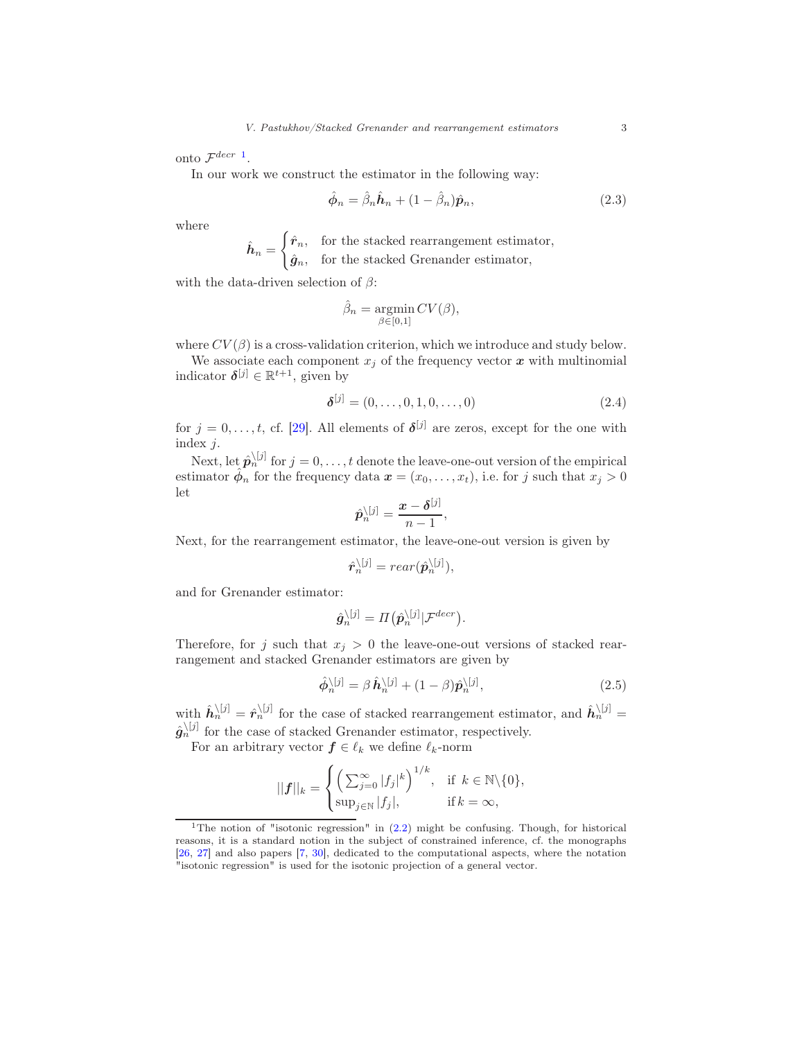onto  $\mathcal{F}^{decr}$ <sup>[1](#page-3-0)</sup>.

In our work we construct the estimator in the following way:

$$
\hat{\phi}_n = \hat{\beta}_n \hat{\boldsymbol{h}}_n + (1 - \hat{\beta}_n) \hat{\boldsymbol{p}}_n, \tag{2.3}
$$

where

 $\hat{\boldsymbol{h}}_n =$  $\int \hat{r}_n$ , for the stacked rearrangement estimator,  $\hat{g}_n$ , for the stacked Grenander estimator,

with the data-driven selection of  $\beta$ :

$$
\hat{\beta}_n = \operatorname*{argmin}_{\beta \in [0,1]} CV(\beta),
$$

where  $CV(\beta)$  is a cross-validation criterion, which we introduce and study below.

We associate each component  $x_j$  of the frequency vector  $x$  with multinomial indicator  $\boldsymbol{\delta}^{[j]} \in \mathbb{R}^{t+1}$ , given by

$$
\delta^{[j]} = (0, \dots, 0, 1, 0, \dots, 0) \tag{2.4}
$$

for  $j = 0, \ldots, t$ , cf. [\[29\]](#page-22-1). All elements of  $\delta^{[j]}$  are zeros, except for the one with index j.

Next, let  $\hat{\boldsymbol{p}}_n^{([j])}$  for  $j = 0, \ldots, t$  denote the leave-one-out version of the empirical estimator  $\hat{\phi}_n$  for the frequency data  $\boldsymbol{x} = (x_0, \ldots, x_t)$ , i.e. for j such that  $x_j > 0$ let

$$
\hat{\boldsymbol{p}}_n^{|[j]} = \frac{\boldsymbol{x} - \boldsymbol{\delta}^{[j]}}{n-1},
$$

Next, for the rearrangement estimator, the leave-one-out version is given by

$$
\hat{\boldsymbol{r}}_n^{\setminus [j]} = rear(\hat{\boldsymbol{p}}_n^{\setminus [j]}),
$$

and for Grenander estimator:

$$
\hat{\boldsymbol{g}}_n^{\backslash [j]} = \varPi\big(\hat{\boldsymbol{p}}_n^{\backslash [j]}|\mathcal{F}^{decr}\big).
$$

Therefore, for j such that  $x_j > 0$  the leave-one-out versions of stacked rearrangement and stacked Grenander estimators are given by

<span id="page-3-1"></span>
$$
\hat{\phi}_n^{\setminus [j]} = \beta \,\hat{\boldsymbol{h}}_n^{\setminus [j]} + (1-\beta)\hat{\boldsymbol{p}}_n^{\setminus [j]},\tag{2.5}
$$

with  $\hat{h}_n^{j}[j] = \hat{r}_n^{j}[j]$  for the case of stacked rearrangement estimator, and  $\hat{h}_n^{j}[j] =$  $\hat{g}_n^{\setminus [j]}$  for the case of stacked Grenander estimator, respectively.

For an arbitrary vector  $f \in \ell_k$  we define  $\ell_k$ -norm

$$
||f||_k = \begin{cases} \left(\sum_{j=0}^{\infty} |f_j|^k\right)^{1/k}, & \text{if } k \in \mathbb{N}\backslash\{0\},\\ \sup_{j\in\mathbb{N}} |f_j|, & \text{if } k = \infty, \end{cases}
$$

<span id="page-3-0"></span><sup>&</sup>lt;sup>1</sup>The notion of "isotonic regression" in  $(2.2)$  might be confusing. Though, for historical reasons, it is a standard notion in the subject of constrained inference, cf. the monographs [\[26,](#page-21-12) [27\]](#page-21-13) and also papers [\[7](#page-20-8), [30](#page-22-5)], dedicated to the computational aspects, where the notation "isotonic regression" is used for the isotonic projection of a general vector.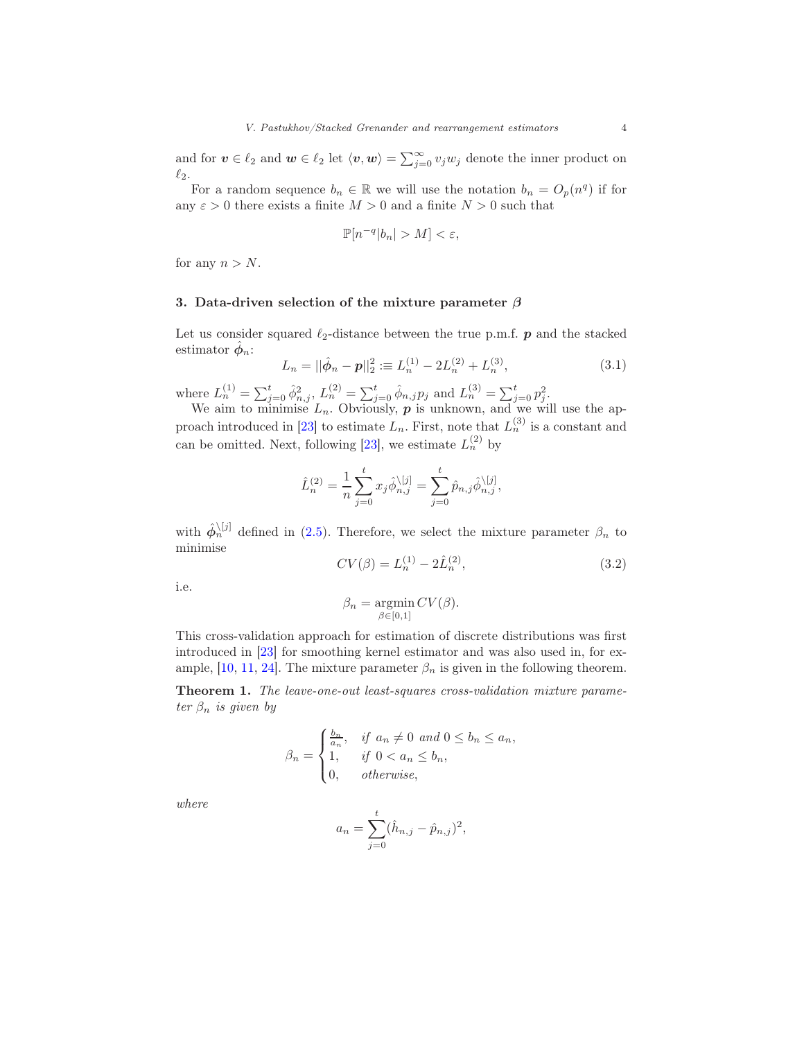and for  $v \in \ell_2$  and  $w \in \ell_2$  let  $\langle v, w \rangle = \sum_{j=0}^{\infty} v_j w_j$  denote the inner product on  $\ell_2$ .

For a random sequence  $b_n \in \mathbb{R}$  we will use the notation  $b_n = O_p(n^q)$  if for any  $\varepsilon > 0$  there exists a finite  $M > 0$  and a finite  $N > 0$  such that

$$
\mathbb{P}[n^{-q}|b_n| > M] < \varepsilon,
$$

for any  $n > N$ .

## <span id="page-4-0"></span>3. Data-driven selection of the mixture parameter  $\beta$

Let us consider squared  $\ell_2$ -distance between the true p.m.f.  $p$  and the stacked estimator  $\hat{\phi}_n$ :

$$
L_n = ||\hat{\phi}_n - \mathbf{p}||_2^2 := L_n^{(1)} - 2L_n^{(2)} + L_n^{(3)},
$$
\n(3.1)

where  $L_n^{(1)} = \sum_{j=0}^t \hat{\phi}_{n,j}^2$ ,  $L_n^{(2)} = \sum_{j=0}^t \hat{\phi}_{n,j} p_j$  and  $L_n^{(3)} = \sum_{j=0}^t p_j^2$ .

We aim to minimise  $L_n$ . Obviously,  $p$  is unknown, and we will use the ap-proach introduced in [\[23](#page-21-14)] to estimate  $L_n$ . First, note that  $L_n^{(3)}$  is a constant and can be omitted. Next, following [\[23](#page-21-14)], we estimate  $L_n^{(2)}$  by

$$
\hat{L}_n^{(2)} = \frac{1}{n} \sum_{j=0}^t x_j \hat{\phi}_{n,j}^{(j)} = \sum_{j=0}^t \hat{p}_{n,j} \hat{\phi}_{n,j}^{(j)},
$$

with  $\hat{\phi}_n^{[j]}$  defined in [\(2.5\)](#page-3-1). Therefore, we select the mixture parameter  $\beta_n$  to minimise

$$
CV(\beta) = L_n^{(1)} - 2\hat{L}_n^{(2)},
$$
\n(3.2)

i.e.

$$
\beta_n = \operatorname*{argmin}_{\beta \in [0,1]} CV(\beta).
$$

This cross-validation approach for estimation of discrete distributions was first introduced in [\[23](#page-21-14)] for smoothing kernel estimator and was also used in, for ex-ample, [\[10](#page-20-9), [11,](#page-21-15) [24](#page-21-16)]. The mixture parameter  $\beta_n$  is given in the following theorem.

<span id="page-4-1"></span>Theorem 1. *The leave-one-out least-squares cross-validation mixture parameter* β<sup>n</sup> *is given by*

$$
\beta_n = \begin{cases} \frac{b_n}{a_n}, & \text{if } a_n \neq 0 \text{ and } 0 \leq b_n \leq a_n, \\ 1, & \text{if } 0 < a_n \leq b_n, \\ 0, & \text{otherwise,} \end{cases}
$$

*where*

$$
a_n = \sum_{j=0}^t (\hat{h}_{n,j} - \hat{p}_{n,j})^2,
$$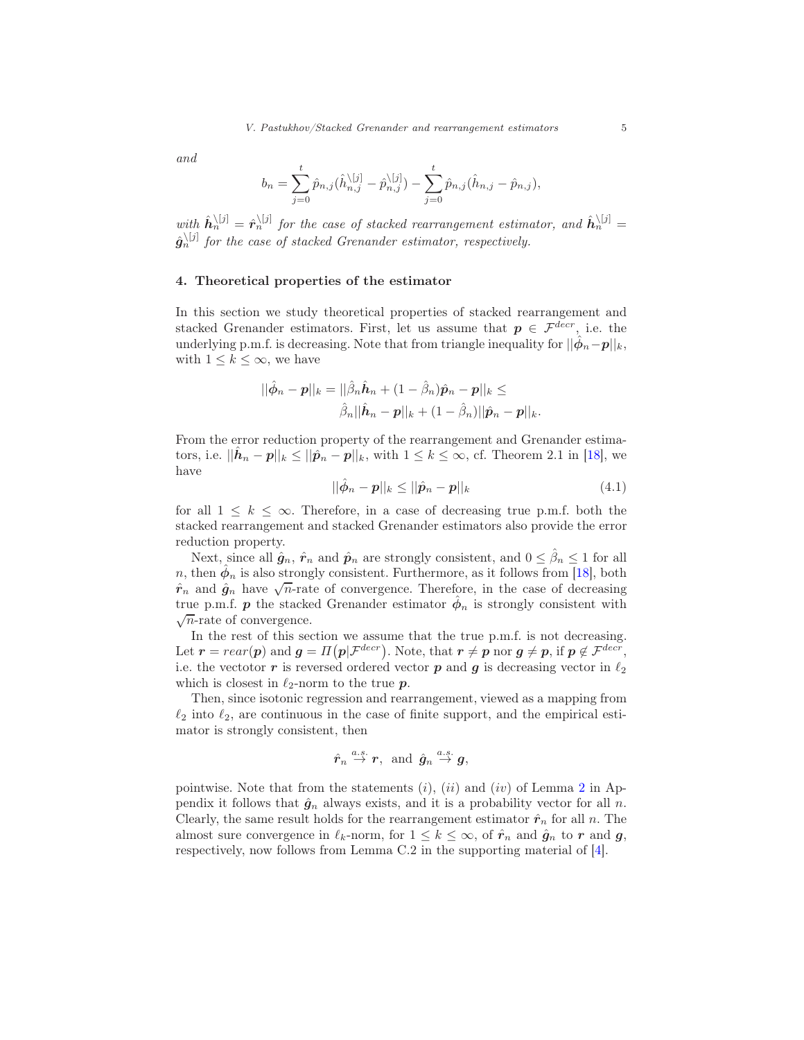*and*

$$
b_n = \sum_{j=0}^t \hat{p}_{n,j} (\hat{h}_{n,j}^{\setminus [j]} - \hat{p}_{n,j}^{\setminus [j]}) - \sum_{j=0}^t \hat{p}_{n,j} (\hat{h}_{n,j} - \hat{p}_{n,j}),
$$

with  $\hat{\mathbf{h}}_n^{[j]} = \hat{\mathbf{r}}_n^{[j]}$  for the case of stacked rearrangement estimator, and  $\hat{\mathbf{h}}_n^{[j]} =$  $\hat{g}_{n}^{\setminus [j]}$  for the case of stacked Grenander estimator, respectively.

## <span id="page-5-0"></span>4. Theoretical properties of the estimator

In this section we study theoretical properties of stacked rearrangement and stacked Grenander estimators. First, let us assume that  $p \in \mathcal{F}^{decr}$ , i.e. the underlying p.m.f. is decreasing. Note that from triangle inequality for  $||\hat{\phi}_n - p||_k$ , with  $1 \leq k \leq \infty$ , we have

$$
||\hat{\phi}_n - p||_k = ||\hat{\beta}_n \hat{\boldsymbol{h}}_n + (1 - \hat{\beta}_n) \hat{\boldsymbol{p}}_n - p||_k \le
$$
  

$$
\hat{\beta}_n ||\hat{\boldsymbol{h}}_n - p||_k + (1 - \hat{\beta}_n) ||\hat{\boldsymbol{p}}_n - p||_k.
$$

From the error reduction property of the rearrangement and Grenander estimators, i.e.  $||\hat{\boldsymbol{h}}_n - \boldsymbol{p}||_k \le ||\hat{\boldsymbol{p}}_n - \boldsymbol{p}||_k$ , with  $1 \le k \le \infty$ , cf. Theorem 2.1 in [\[18](#page-21-0)], we have

<span id="page-5-1"></span>
$$
||\hat{\phi}_n - p||_k \le ||\hat{p}_n - p||_k \tag{4.1}
$$

for all  $1 \leq k \leq \infty$ . Therefore, in a case of decreasing true p.m.f. both the stacked rearrangement and stacked Grenander estimators also provide the error reduction property.

Next, since all  $\hat{\mathbf{g}}_n$ ,  $\hat{\mathbf{r}}_n$  and  $\hat{\mathbf{p}}_n$  are strongly consistent, and  $0 \leq \hat{\beta}_n \leq 1$  for all n, then  $\hat{\phi}_n$  is also strongly consistent. Furthermore, as it follows from [\[18\]](#page-21-0), both  $\hat{r}_n$  and  $\hat{g}_n$  have  $\sqrt{n}$ -rate of convergence. Therefore, in the case of decreasing true p.m.f.  $p$  the stacked Grenander estimator  $\hat{\phi}_n$  is strongly consistent with  $\sqrt{n}$ -rate of convergence.

In the rest of this section we assume that the true p.m.f. is not decreasing. Let  $\boldsymbol{r} = \operatorname{rear}(\boldsymbol{p})$  and  $\boldsymbol{g} = \Pi(\boldsymbol{p} | \mathcal{F}^{decr})$ . Note, that  $\boldsymbol{r} \neq \boldsymbol{p}$  nor  $\boldsymbol{g} \neq \boldsymbol{p}$ , if  $\boldsymbol{p} \notin \mathcal{F}^{decr}$ , i.e. the vectotor r is reversed ordered vector p and g is decreasing vector in  $\ell_2$ which is closest in  $\ell_2$ -norm to the true  $p$ .

Then, since isotonic regression and rearrangement, viewed as a mapping from  $\ell_2$  into  $\ell_2$ , are continuous in the case of finite support, and the empirical estimator is strongly consistent, then

$$
\hat{\boldsymbol{r}}_n \stackrel{a.s.}{\rightarrow} \boldsymbol{r}, \text{ and } \hat{\boldsymbol{g}}_n \stackrel{a.s.}{\rightarrow} \boldsymbol{g},
$$

pointwise. Note that from the statements  $(i)$ ,  $(ii)$  and  $(iv)$  of Lemma [2](#page-16-1) in Appendix it follows that  $\hat{g}_n$  always exists, and it is a probability vector for all n. Clearly, the same result holds for the rearrangement estimator  $\hat{r}_n$  for all n. The almost sure convergence in  $\ell_k$ -norm, for  $1 \leq k \leq \infty$ , of  $\hat{r}_n$  and  $\hat{g}_n$  to r and  $g$ , respectively, now follows from Lemma C.2 in the supporting material of [\[4](#page-20-2)].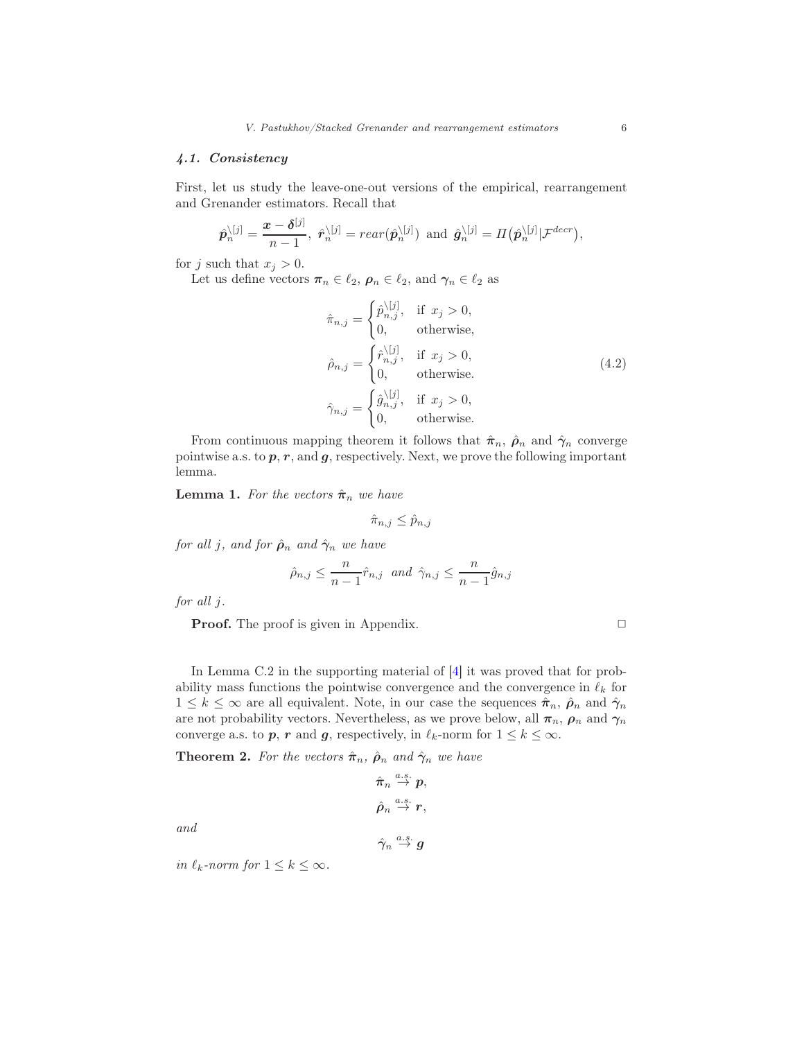## <span id="page-6-0"></span>4.1. Consistency

First, let us study the leave-one-out versions of the empirical, rearrangement and Grenander estimators. Recall that

$$
\hat{\boldsymbol{p}}_n^{\backslash [j]} = \frac{\boldsymbol{x} - \boldsymbol{\delta}^{[j]}}{n-1}, \,\, \hat{\boldsymbol{r}}_n^{\backslash [j]} = rear(\hat{\boldsymbol{p}}_n^{\backslash [j]}) \,\,\, \text{and} \,\,\, \hat{\boldsymbol{g}}_n^{\backslash [j]} = \varPi\big(\hat{\boldsymbol{p}}_n^{\backslash [j]} \vert \mathcal{F}^{decr}\big),
$$

for j such that  $x_j > 0$ .

Let us define vectors  $\pi_n \in \ell_2$ ,  $\rho_n \in \ell_2$ , and  $\gamma_n \in \ell_2$  as

<span id="page-6-2"></span>
$$
\hat{\pi}_{n,j} = \begin{cases}\n\hat{p}_{n,j}^{\setminus [j]}, & \text{if } x_j > 0, \\
0, & \text{otherwise,} \n\end{cases}
$$
\n
$$
\hat{\rho}_{n,j} = \begin{cases}\n\hat{r}_{n,j}^{\setminus [j]}, & \text{if } x_j > 0, \\
0, & \text{otherwise.} \n\end{cases}
$$
\n
$$
\hat{\gamma}_{n,j} = \begin{cases}\n\hat{g}_{n,j}^{\setminus [j]}, & \text{if } x_j > 0, \\
0, & \text{otherwise.}\n\end{cases}
$$
\n(4.2)

From continuous mapping theorem it follows that  $\hat{\pi}_n$ ,  $\hat{\rho}_n$  and  $\hat{\gamma}_n$  converge pointwise a.s. to  $p, r$ , and  $g$ , respectively. Next, we prove the following important lemma.

<span id="page-6-1"></span>**Lemma 1.** For the vectors  $\hat{\pi}_n$  we have

$$
\hat{\pi}_{n,j} \leq \hat{p}_{n,j}
$$

*for all j, and for*  $\hat{\rho}_n$  *and*  $\hat{\gamma}_n$  *we have* 

$$
\hat{\rho}_{n,j} \le \frac{n}{n-1} \hat{r}_{n,j} \text{ and } \hat{\gamma}_{n,j} \le \frac{n}{n-1} \hat{g}_{n,j}
$$

*for all* j*.*

**Proof.** The proof is given in Appendix. **□** 

In Lemma C.2 in the supporting material of  $[4]$  it was proved that for probability mass functions the pointwise convergence and the convergence in  $\ell_k$  for  $1 \leq k \leq \infty$  are all equivalent. Note, in our case the sequences  $\hat{\pi}_n$ ,  $\hat{\rho}_n$  and  $\hat{\gamma}_n$ are not probability vectors. Nevertheless, as we prove below, all  $\pi_n$ ,  $\rho_n$  and  $\gamma_n$ converge a.s. to p, r and g, respectively, in  $\ell_k$ -norm for  $1 \leq k \leq \infty$ .

<span id="page-6-3"></span>**Theorem 2.** For the vectors  $\hat{\pi}_n$ ,  $\hat{\rho}_n$  and  $\hat{\gamma}_n$  we have

$$
\begin{array}{c} \hat{\pi}_n \stackrel{a.s.}{\rightarrow} p, \\ \hat{\rho}_n \stackrel{a.s.}{\rightarrow} r, \\ \hat{\gamma}_n \stackrel{a.s.}{\rightarrow} g \end{array}
$$

*and*

*in*  $\ell_k$ -norm for  $1 \leq k \leq \infty$ .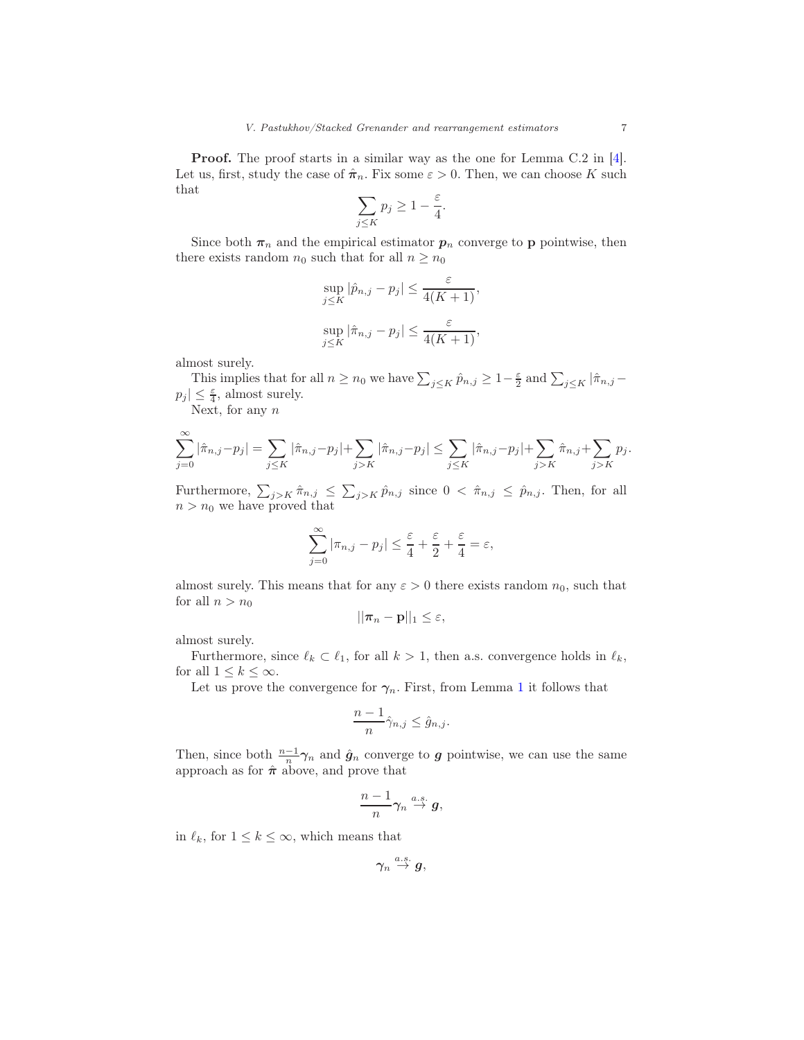Proof. The proof starts in a similar way as the one for Lemma C.2 in [\[4\]](#page-20-2). Let us, first, study the case of  $\hat{\pi}_n$ . Fix some  $\varepsilon > 0$ . Then, we can choose K such that

$$
\sum_{j \le K} p_j \ge 1 - \frac{\varepsilon}{4}
$$

.

Since both  $\pi_n$  and the empirical estimator  $p_n$  converge to p pointwise, then there exists random  $n_0$  such that for all  $n \geq n_0$ 

$$
\sup_{j\leq K} |\hat{p}_{n,j} - p_j| \leq \frac{\varepsilon}{4(K+1)},
$$
  

$$
\sup_{j\leq K} |\hat{\pi}_{n,j} - p_j| \leq \frac{\varepsilon}{4(K+1)},
$$

almost surely.

This implies that for all  $n \ge n_0$  we have  $\sum_{j \le K} \hat{p}_{n,j} \ge 1 - \frac{\varepsilon}{2}$  and  $\sum_{j \le K} |\hat{\pi}_{n,j} - \hat{\pi}_{n,j}|$  $p_j | \leq \frac{\varepsilon}{4}$ , almost surely.

Next, for any  $n$ 

$$
\sum_{j=0}^{\infty} |\hat{\pi}_{n,j} - p_j| = \sum_{j \leq K} |\hat{\pi}_{n,j} - p_j| + \sum_{j > K} |\hat{\pi}_{n,j} - p_j| \leq \sum_{j \leq K} |\hat{\pi}_{n,j} - p_j| + \sum_{j > K} \hat{\pi}_{n,j} + \sum_{j > K} p_j.
$$

Furthermore,  $\sum_{j>K} \hat{\pi}_{n,j} \leq \sum_{j>K} \hat{p}_{n,j}$  since  $0 < \hat{\pi}_{n,j} \leq \hat{p}_{n,j}$ . Then, for all  $n > n_0$  we have proved that

$$
\sum_{j=0}^{\infty} |\pi_{n,j} - p_j| \le \frac{\varepsilon}{4} + \frac{\varepsilon}{2} + \frac{\varepsilon}{4} = \varepsilon,
$$

almost surely. This means that for any  $\varepsilon > 0$  there exists random  $n_0$ , such that for all  $n > n_0$ 

$$
||\boldsymbol{\pi}_n - \mathbf{p}||_1 \leq \varepsilon,
$$

almost surely.

Furthermore, since  $\ell_k \subset \ell_1$ , for all  $k > 1$ , then a.s. convergence holds in  $\ell_k$ , for all  $1 \leq k \leq \infty$ .

Let us prove the convergence for  $\gamma_n$ . First, from Lemma [1](#page-6-1) it follows that

$$
\frac{n-1}{n}\hat{\gamma}_{n,j}\leq \hat{g}_{n,j}.
$$

Then, since both  $\frac{n-1}{n}\gamma_n$  and  $\hat{g}_n$  converge to g pointwise, we can use the same approach as for  $\hat{\pi}$  above, and prove that

$$
\frac{n-1}{n}\gamma_n\overset{a.s.}{\to}g,
$$

in  $\ell_k$ , for  $1 \leq k \leq \infty$ , which means that

 $\boldsymbol{\gamma_n} \stackrel{a.s.}{\rightarrow} \boldsymbol{g},$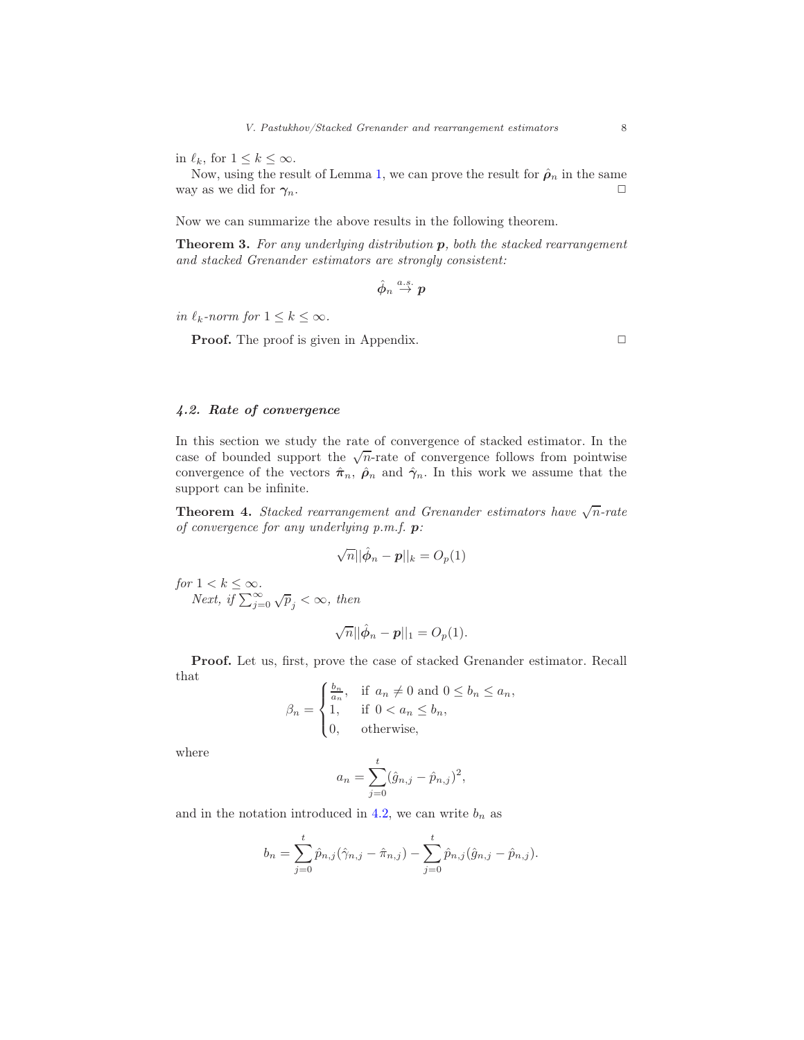in  $\ell_k$ , for  $1 \leq k \leq \infty$ .

Now, using the result of Lemma [1,](#page-6-1) we can prove the result for  $\hat{\rho}_n$  in the same way as we did for  $\gamma_n$ .

Now we can summarize the above results in the following theorem.

<span id="page-8-1"></span>Theorem 3. *For any underlying distribution* p*, both the stacked rearrangement and stacked Grenander estimators are strongly consistent:*

$$
\hat{\phi}_n\overset{a.s.}{\rightarrow}p
$$

*in*  $\ell_k$ *-norm for*  $1 \leq k \leq \infty$ *.* 

**Proof.** The proof is given in Appendix.  $\Box$ 

<span id="page-8-0"></span>4.2. Rate of convergence

In this section we study the rate of convergence of stacked estimator. In the case of bounded support the  $\sqrt{n}$ -rate of convergence follows from pointwise convergence of the vectors  $\hat{\pi}_n$ ,  $\hat{\rho}_n$  and  $\hat{\gamma}_n$ . In this work we assume that the support can be infinite.

**Theorem 4.** *Stacked rearrangement and Grenander estimators have*  $\sqrt{n}$ -rate *of convergence for any underlying p.m.f.* p*:*

$$
\sqrt{n}||\hat{\phi}_n - \mathbf{p}||_k = O_p(1)
$$

*for*  $1 < k \leq \infty$ *. Next,* if  $\sum_{j=0}^{\infty} \sqrt{p}_j < \infty$ *, then* 

$$
\sqrt{n}||\hat{\phi}_n-\mathbf{p}||_1=O_p(1).
$$

Proof. Let us, first, prove the case of stacked Grenander estimator. Recall that

$$
\beta_n = \begin{cases} \frac{b_n}{a_n}, & \text{if } a_n \neq 0 \text{ and } 0 \leq b_n \leq a_n, \\ 1, & \text{if } 0 < a_n \leq b_n, \\ 0, & \text{otherwise,} \end{cases}
$$

where

$$
a_n = \sum_{j=0}^t (\hat{g}_{n,j} - \hat{p}_{n,j})^2,
$$

and in the notation introduced in [4.2,](#page-6-2) we can write  $b_n$  as

$$
b_n = \sum_{j=0}^t \hat{p}_{n,j} (\hat{\gamma}_{n,j} - \hat{\pi}_{n,j}) - \sum_{j=0}^t \hat{p}_{n,j} (\hat{g}_{n,j} - \hat{p}_{n,j}).
$$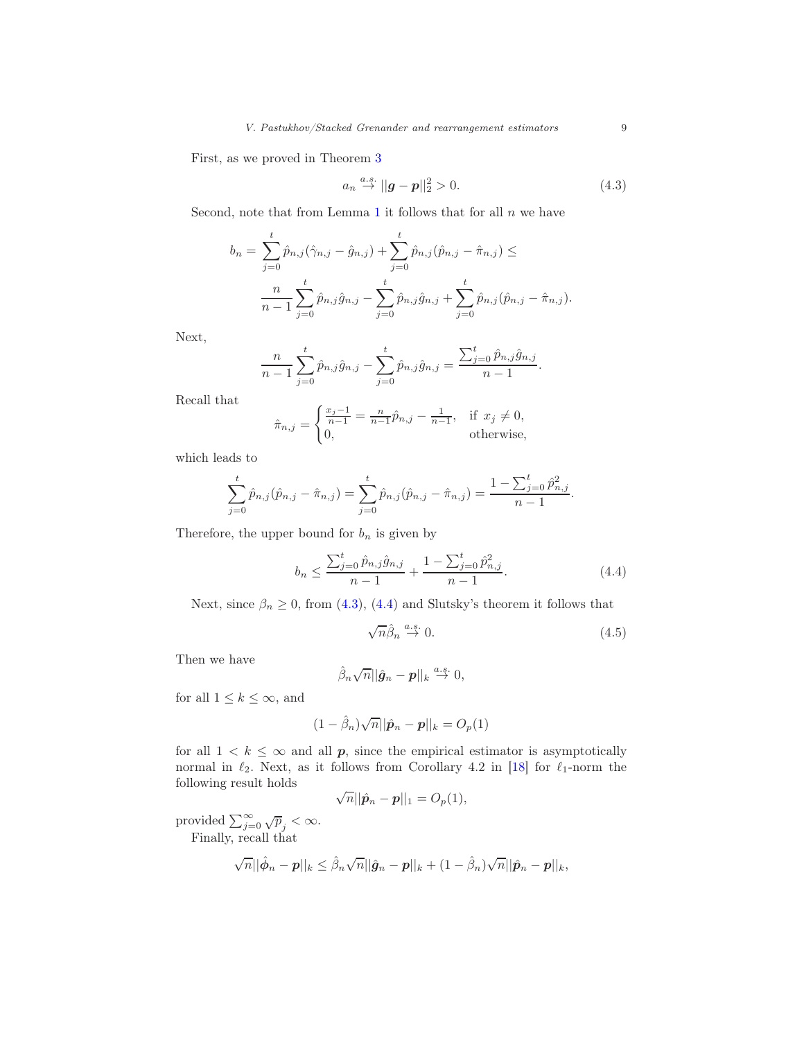First, as we proved in Theorem [3](#page-8-1)

<span id="page-9-0"></span>
$$
a_n \stackrel{a.s.}{\rightarrow} ||g-p||_2^2 > 0. \tag{4.3}
$$

Second, note that from Lemma [1](#page-6-1) it follows that for all  $n$  we have

$$
b_n = \sum_{j=0}^t \hat{p}_{n,j}(\hat{\gamma}_{n,j} - \hat{g}_{n,j}) + \sum_{j=0}^t \hat{p}_{n,j}(\hat{p}_{n,j} - \hat{\pi}_{n,j}) \le
$$

$$
\frac{n}{n-1} \sum_{j=0}^t \hat{p}_{n,j}\hat{g}_{n,j} - \sum_{j=0}^t \hat{p}_{n,j}\hat{g}_{n,j} + \sum_{j=0}^t \hat{p}_{n,j}(\hat{p}_{n,j} - \hat{\pi}_{n,j}).
$$

Next,

$$
\frac{n}{n-1} \sum_{j=0}^{t} \hat{p}_{n,j} \hat{g}_{n,j} - \sum_{j=0}^{t} \hat{p}_{n,j} \hat{g}_{n,j} = \frac{\sum_{j=0}^{t} \hat{p}_{n,j} \hat{g}_{n,j}}{n-1}.
$$

Recall that

$$
\hat{\pi}_{n,j} = \begin{cases} \frac{x_j - 1}{n - 1} = \frac{n}{n - 1} \hat{p}_{n,j} - \frac{1}{n - 1}, & \text{if } x_j \neq 0, \\ 0, & \text{otherwise,} \end{cases}
$$

which leads to

$$
\sum_{j=0}^{t} \hat{p}_{n,j}(\hat{p}_{n,j} - \hat{\pi}_{n,j}) = \sum_{j=0}^{t} \hat{p}_{n,j}(\hat{p}_{n,j} - \hat{\pi}_{n,j}) = \frac{1 - \sum_{j=0}^{t} \hat{p}_{n,j}^2}{n-1}.
$$

Therefore, the upper bound for  $b_n$  is given by

in l

<span id="page-9-1"></span>
$$
b_n \le \frac{\sum_{j=0}^t \hat{p}_{n,j} \hat{g}_{n,j}}{n-1} + \frac{1 - \sum_{j=0}^t \hat{p}_{n,j}^2}{n-1}.
$$
\n(4.4)

Next, since  $\beta_n \geq 0$ , from [\(4.3\)](#page-9-0), [\(4.4\)](#page-9-1) and Slutsky's theorem it follows that

<span id="page-9-2"></span>
$$
\sqrt{n}\hat{\beta}_n \stackrel{a.s.}{\rightarrow} 0. \tag{4.5}
$$

Then we have

$$
\hat{\beta}_n\sqrt{n}||\hat{\mathbf{g}}_n-\mathbf{p}||_k \stackrel{a.s.}{\rightarrow} 0,
$$

for all  $1 \leq k \leq \infty$ , and

$$
(1-\hat{\beta}_n)\sqrt{n}||\hat{\mathbf{p}}_n-\mathbf{p}||_k=O_p(1)
$$

for all  $1 < k \leq \infty$  and all **p**, since the empirical estimator is asymptotically normal in  $\ell_2$ . Next, as it follows from Corollary 4.2 in [\[18\]](#page-21-0) for  $\ell_1$ -norm the following result holds

$$
\sqrt{n}||\hat{\boldsymbol{p}}_n-\boldsymbol{p}||_1=O_p(1),
$$

provided  $\sum_{j=0}^{\infty} \sqrt{p}_j < \infty$ . Finally, recall that

$$
\sqrt{n}||\hat{\phi}_n-\mathbf{p}||_k \leq \hat{\beta}_n \sqrt{n}||\hat{\mathbf{g}}_n-\mathbf{p}||_k + (1-\hat{\beta}_n)\sqrt{n}||\hat{\mathbf{p}}_n-\mathbf{p}||_k,
$$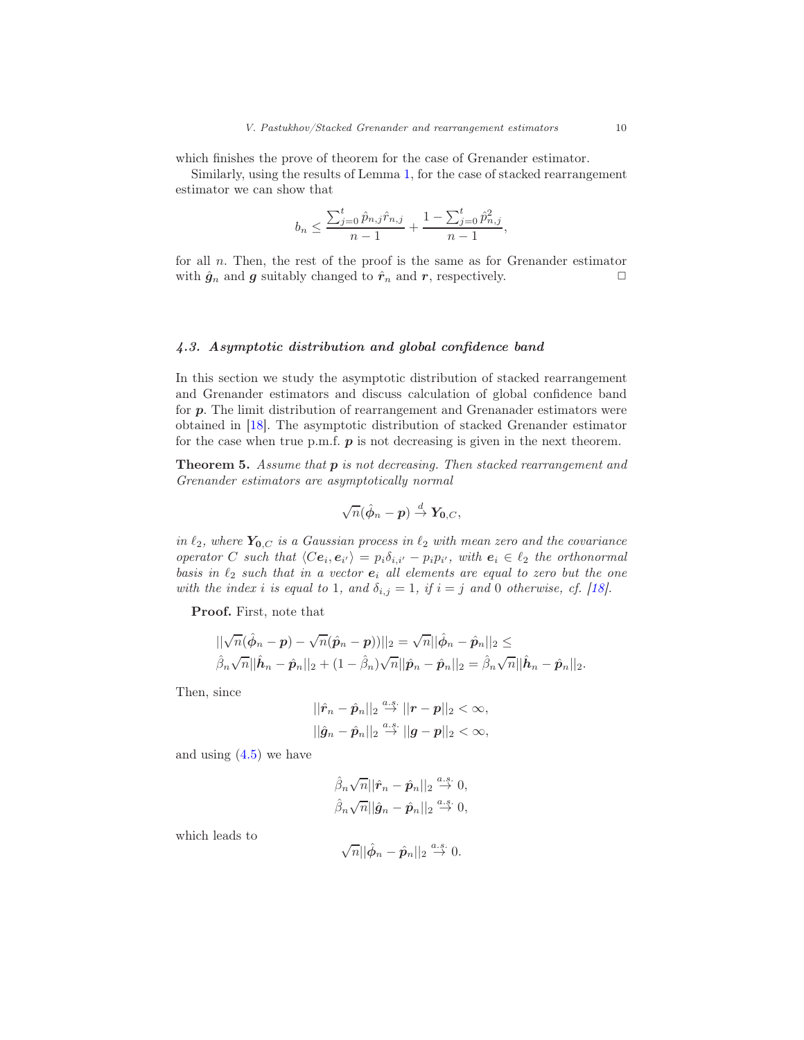which finishes the prove of theorem for the case of Grenander estimator.

Similarly, using the results of Lemma [1,](#page-6-1) for the case of stacked rearrangement estimator we can show that

$$
b_n \le \frac{\sum_{j=0}^t \hat{p}_{n,j} \hat{r}_{n,j}}{n-1} + \frac{1 - \sum_{j=0}^t \hat{p}_{n,j}^2}{n-1},
$$

for all  $n$ . Then, the rest of the proof is the same as for Grenander estimator with  $\hat{g}_n$  and g suitably changed to  $\hat{r}_n$  and r, respectively.

#### <span id="page-10-0"></span>4.3. Asymptotic distribution and global confidence band

In this section we study the asymptotic distribution of stacked rearrangement and Grenander estimators and discuss calculation of global confidence band for p. The limit distribution of rearrangement and Grenanader estimators were obtained in [\[18\]](#page-21-0). The asymptotic distribution of stacked Grenander estimator for the case when true p.m.f.  $p$  is not decreasing is given in the next theorem.

<span id="page-10-1"></span>Theorem 5. *Assume that* p *is not decreasing. Then stacked rearrangement and Grenander estimators are asymptotically normal*

$$
\sqrt{n}(\hat{\phi}_n-\boldsymbol{p})\overset{d}{\rightarrow}\boldsymbol{Y}_{0,C},
$$

*in*  $\ell_2$ , where  $Y_{0,C}$  *is a Gaussian process in*  $\ell_2$  *with mean zero and the covariance operator* C such that  $\langle Ce_i, e_{i'} \rangle = p_i \delta_{i,i'} - p_i p_{i'},$  with  $e_i \in \ell_2$  the orthonormal *basis in*  $\ell_2$  *such that in a vector*  $e_i$  *all elements are equal to zero but the one with the index i is equal to* 1*, and*  $\delta_{i,j} = 1$ *, if*  $i = j$  *and* 0 *otherwise, cf.* [\[18](#page-21-0)].

Proof. First, note that

$$
\begin{aligned}\n||\sqrt{n}(\hat{\phi}_n - \mathbf{p}) - \sqrt{n}(\hat{\mathbf{p}}_n - \mathbf{p}))||_2 &= \sqrt{n}||\hat{\phi}_n - \hat{\mathbf{p}}_n||_2 \leq \\
\hat{\beta}_n \sqrt{n}||\hat{\mathbf{h}}_n - \hat{\mathbf{p}}_n||_2 + (1 - \hat{\beta}_n)\sqrt{n}||\hat{\mathbf{p}}_n - \hat{\mathbf{p}}_n||_2 = \hat{\beta}_n\sqrt{n}||\hat{\mathbf{h}}_n - \hat{\mathbf{p}}_n||_2.\n\end{aligned}
$$

Then, since

$$
||\hat{r}_n - \hat{p}_n||_2 \stackrel{a.s.}{\rightarrow} ||r-p||_2 < \infty,
$$
  

$$
||\hat{g}_n - \hat{p}_n||_2 \stackrel{a.s.}{\rightarrow} ||g-p||_2 < \infty,
$$

and using [\(4.5\)](#page-9-2) we have

$$
\hat{\beta}_n\sqrt{n}||\hat{r}_n-\hat{p}_n||_2 \stackrel{a.s.}{\rightarrow} 0,
$$
  

$$
\hat{\beta}_n\sqrt{n}||\hat{g}_n-\hat{p}_n||_2 \stackrel{a.s.}{\rightarrow} 0,
$$

which leads to

$$
\sqrt{n}||\hat{\phi}_n-\hat{p}_n||_2 \stackrel{a.s.}{\rightarrow} 0.
$$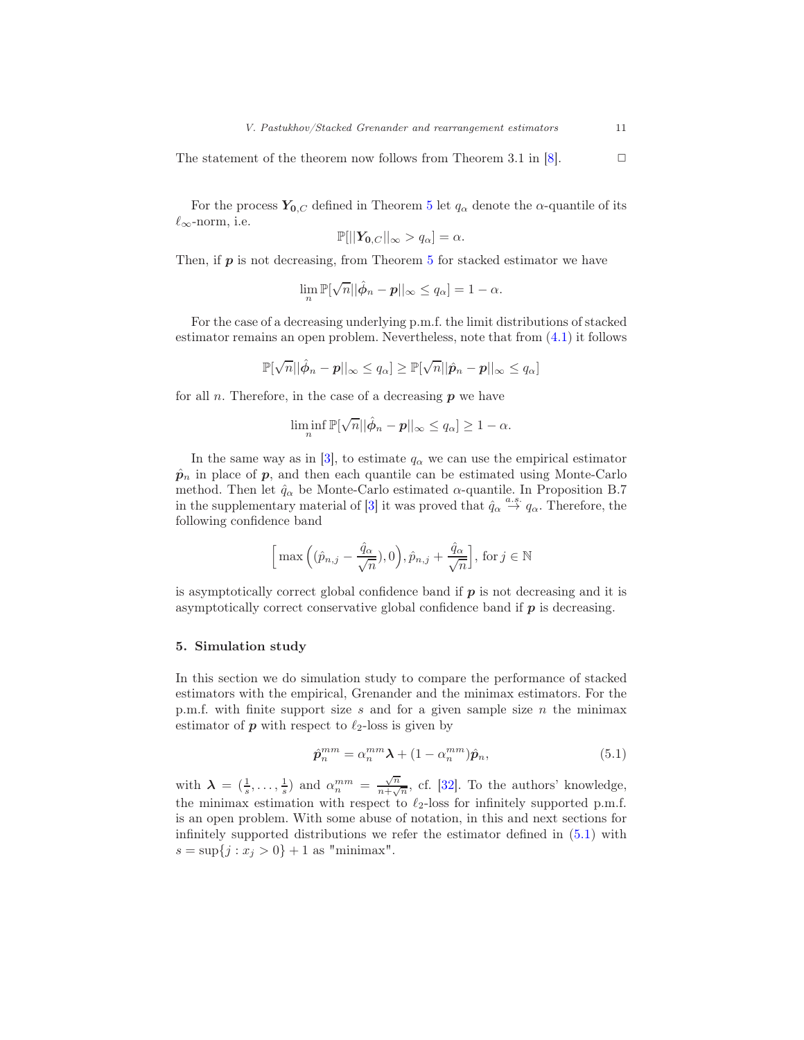The statement of the theorem now follows from Theorem 3.1 in  $[8]$ .  $\Box$ 

For the process  $Y_{0,C}$  defined in Theorem [5](#page-10-1) let  $q_{\alpha}$  denote the  $\alpha$ -quantile of its  $\ell_{\infty}$ -norm, i.e.

$$
\mathbb{P}[||Y_{0,C}||_{\infty} > q_{\alpha}] = \alpha.
$$

Then, if  $p$  is not decreasing, from Theorem  $5$  for stacked estimator we have

$$
\lim_{n} \mathbb{P}[\sqrt{n} || \hat{\phi}_n - \mathbf{p} ||_{\infty} \leq q_{\alpha}] = 1 - \alpha.
$$

For the case of a decreasing underlying p.m.f. the limit distributions of stacked estimator remains an open problem. Nevertheless, note that from [\(4.1\)](#page-5-1) it follows

$$
\mathbb{P}[\sqrt{n}||\hat{\phi}_n - p||_{\infty} \leq q_{\alpha}] \geq \mathbb{P}[\sqrt{n}||\hat{p}_n - p||_{\infty} \leq q_{\alpha}]
$$

for all  $n$ . Therefore, in the case of a decreasing  $p$  we have

$$
\liminf_{n} \mathbb{P}[\sqrt{n} || \hat{\phi}_n - \mathbf{p} ||_{\infty} \leq q_{\alpha}] \geq 1 - \alpha.
$$

In the same way as in [\[3\]](#page-20-3), to estimate  $q_{\alpha}$  we can use the empirical estimator  $\hat{p}_n$  in place of  $p$ , and then each quantile can be estimated using Monte-Carlo method. Then let  $\hat{q}_{\alpha}$  be Monte-Carlo estimated  $\alpha$ -quantile. In Proposition B.7 in the supplementary material of [\[3](#page-20-3)] it was proved that  $\hat{q}_{\alpha} \stackrel{a.s.}{\rightarrow} q_{\alpha}$ . Therefore, the following confidence band

$$
\Big[\max\Big((\hat{p}_{n,j}-\frac{\hat{q}_\alpha}{\sqrt{n}}),0\Big),\hat{p}_{n,j}+\frac{\hat{q}_\alpha}{\sqrt{n}}\Big],\,\text{for}\,j\in\mathbb{N}
$$

is asymptotically correct global confidence band if  $p$  is not decreasing and it is asymptotically correct conservative global confidence band if  $p$  is decreasing.

#### <span id="page-11-0"></span>5. Simulation study

In this section we do simulation study to compare the performance of stacked estimators with the empirical, Grenander and the minimax estimators. For the p.m.f. with finite support size s and for a given sample size n the minimax estimator of  $p$  with respect to  $\ell_2$ -loss is given by

<span id="page-11-1"></span>
$$
\hat{p}_n^{mm} = \alpha_n^{mm} \lambda + (1 - \alpha_n^{mm}) \hat{p}_n,\tag{5.1}
$$

with  $\lambda = (\frac{1}{s}, \ldots, \frac{1}{s})$  and  $\alpha_n^{mm} = \frac{\sqrt{n}}{n + \sqrt{n}}$  $\frac{\sqrt{n}}{n+\sqrt{n}}$ , cf. [\[32](#page-22-3)]. To the authors' knowledge, the minimax estimation with respect to  $\ell_2$ -loss for infinitely supported p.m.f. is an open problem. With some abuse of notation, in this and next sections for infinitely supported distributions we refer the estimator defined in [\(5.1\)](#page-11-1) with  $s = \sup\{j : x_j > 0\} + 1$  as "minimax".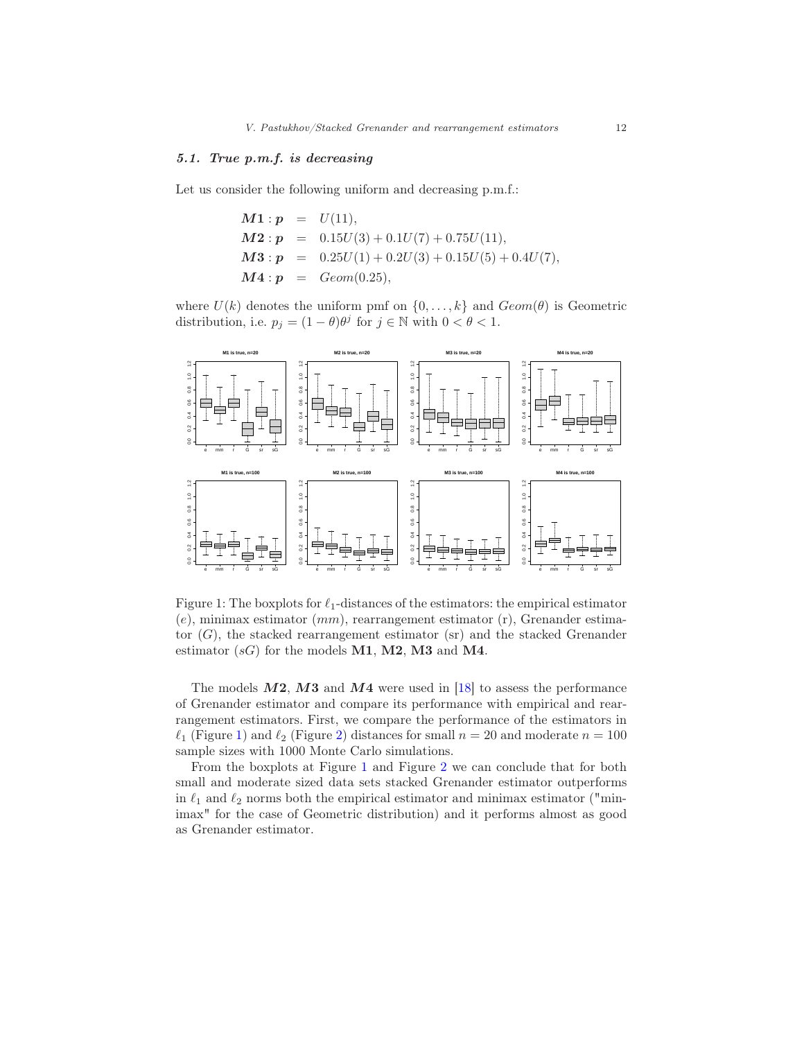#### <span id="page-12-0"></span>5.1. True p.m.f. is decreasing

Let us consider the following uniform and decreasing p.m.f.:

$$
M1: p = U(11),
$$
  
\n
$$
M2: p = 0.15U(3) + 0.1U(7) + 0.75U(11),
$$
  
\n
$$
M3: p = 0.25U(1) + 0.2U(3) + 0.15U(5) + 0.4U(7),
$$
  
\n
$$
M4: p = Geom(0.25),
$$

where  $U(k)$  denotes the uniform pmf on  $\{0, \ldots, k\}$  and  $Geom(\theta)$  is Geometric distribution, i.e.  $p_j = (1 - \theta)\theta^j$  for  $j \in \mathbb{N}$  with  $0 < \theta < 1$ .

<span id="page-12-1"></span>

Figure 1: The boxplots for  $\ell_1$ -distances of the estimators: the empirical estimator  $(e)$ , minimax estimator  $(mm)$ , rearrangement estimator  $(r)$ , Grenander estimator  $(G)$ , the stacked rearrangement estimator  $(sr)$  and the stacked Grenander estimator  $(sG)$  for the models **M1**, **M2**, **M3** and **M4**.

The models  $M2$ ,  $M3$  and  $M4$  were used in [\[18\]](#page-21-0) to assess the performance of Grenander estimator and compare its performance with empirical and rearrangement estimators. First, we compare the performance of the estimators in  $\ell_1$  (Figure [1\)](#page-12-1) and  $\ell_2$  (Figure [2\)](#page-13-1) distances for small  $n = 20$  and moderate  $n = 100$ sample sizes with 1000 Monte Carlo simulations.

From the boxplots at Figure [1](#page-12-1) and Figure [2](#page-13-1) we can conclude that for both small and moderate sized data sets stacked Grenander estimator outperforms in  $\ell_1$  and  $\ell_2$  norms both the empirical estimator and minimax estimator ("minimax" for the case of Geometric distribution) and it performs almost as good as Grenander estimator.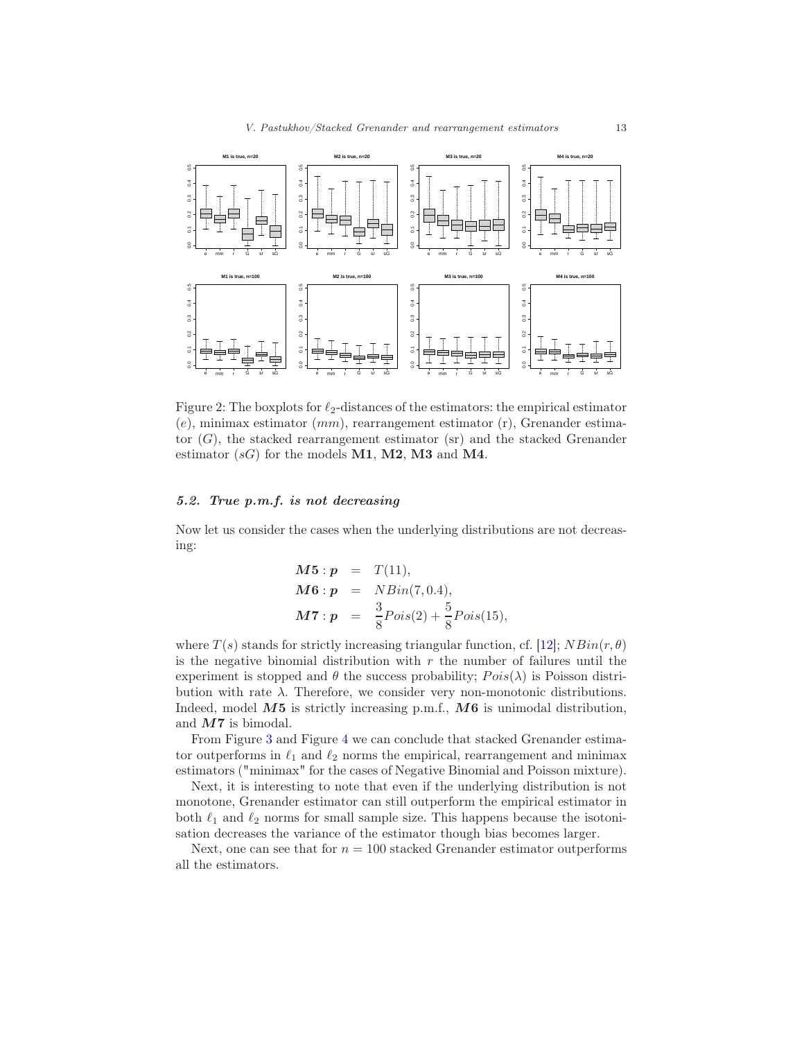<span id="page-13-1"></span>

Figure 2: The boxplots for  $\ell_2$ -distances of the estimators: the empirical estimator  $(e)$ , minimax estimator  $(mm)$ , rearrangement estimator  $(r)$ , Grenander estimator  $(G)$ , the stacked rearrangement estimator  $(sr)$  and the stacked Grenander estimator  $(sG)$  for the models **M1**, **M2**, **M3** and **M4**.

#### <span id="page-13-0"></span>5.2. True p.m.f. is not decreasing

Now let us consider the cases when the underlying distributions are not decreasing:

$$
M5: p = T(11),M6: p = NBin(7, 0.4),M7: p = \frac{3}{8}Pois(2) + \frac{5}{8}Pois(15),
$$

where  $T(s)$  stands for strictly increasing triangular function, cf. [\[12](#page-21-1)];  $NBin(r, \theta)$ is the negative binomial distribution with  $r$  the number of failures until the experiment is stopped and  $\theta$  the success probability;  $Pois(\lambda)$  is Poisson distribution with rate  $\lambda$ . Therefore, we consider very non-monotonic distributions. Indeed, model  $M5$  is strictly increasing p.m.f.,  $M6$  is unimodal distribution, and  $M7$  is bimodal.

From Figure [3](#page-14-0) and Figure [4](#page-14-1) we can conclude that stacked Grenander estimator outperforms in  $\ell_1$  and  $\ell_2$  norms the empirical, rearrangement and minimax estimators ("minimax" for the cases of Negative Binomial and Poisson mixture).

Next, it is interesting to note that even if the underlying distribution is not monotone, Grenander estimator can still outperform the empirical estimator in both  $\ell_1$  and  $\ell_2$  norms for small sample size. This happens because the isotonisation decreases the variance of the estimator though bias becomes larger.

Next, one can see that for  $n = 100$  stacked Grenander estimator outperforms all the estimators.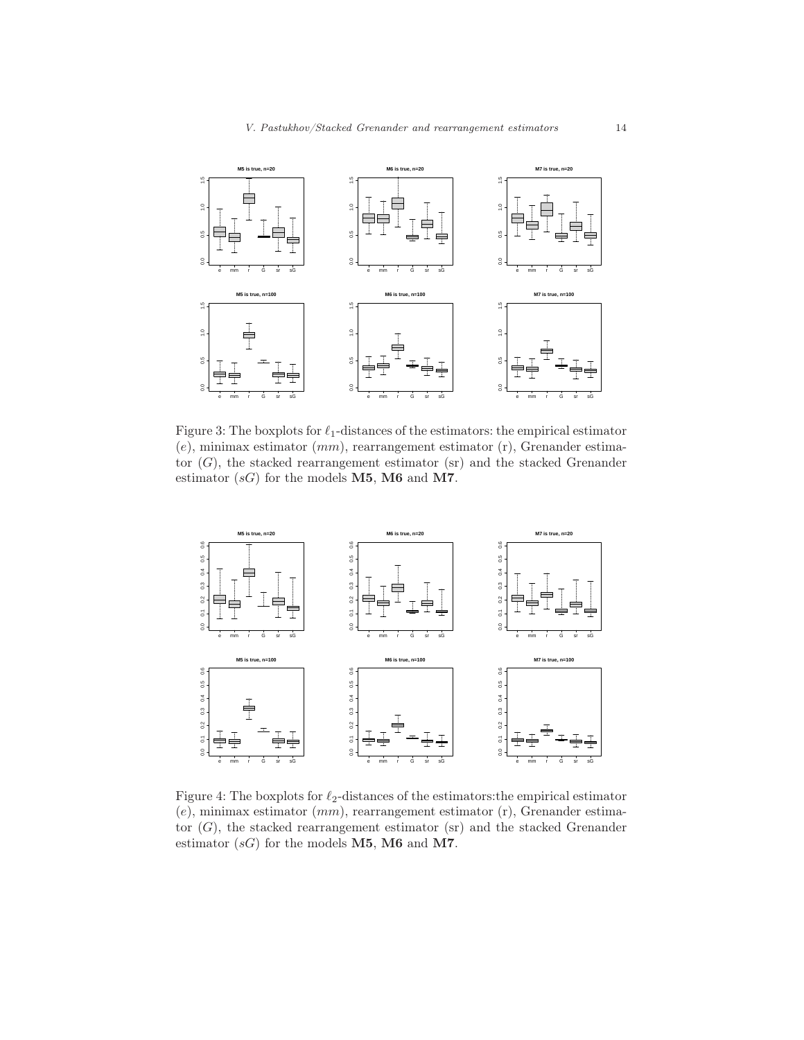<span id="page-14-0"></span>

Figure 3: The boxplots for  $\ell_1$ -distances of the estimators: the empirical estimator  $(e)$ , minimax estimator  $(mm)$ , rearrangement estimator  $(r)$ , Grenander estimator  $(G)$ , the stacked rearrangement estimator  $(sr)$  and the stacked Grenander estimator  $(sG)$  for the models **M5**, **M6** and **M7**.

<span id="page-14-1"></span>

Figure 4: The boxplots for  $\ell_2$ -distances of the estimators: the empirical estimator  $(e)$ , minimax estimator  $(mm)$ , rearrangement estimator  $(r)$ , Grenander estimator  $(G)$ , the stacked rearrangement estimator  $(sr)$  and the stacked Grenander estimator  $(sG)$  for the models **M5**, **M6** and **M7**.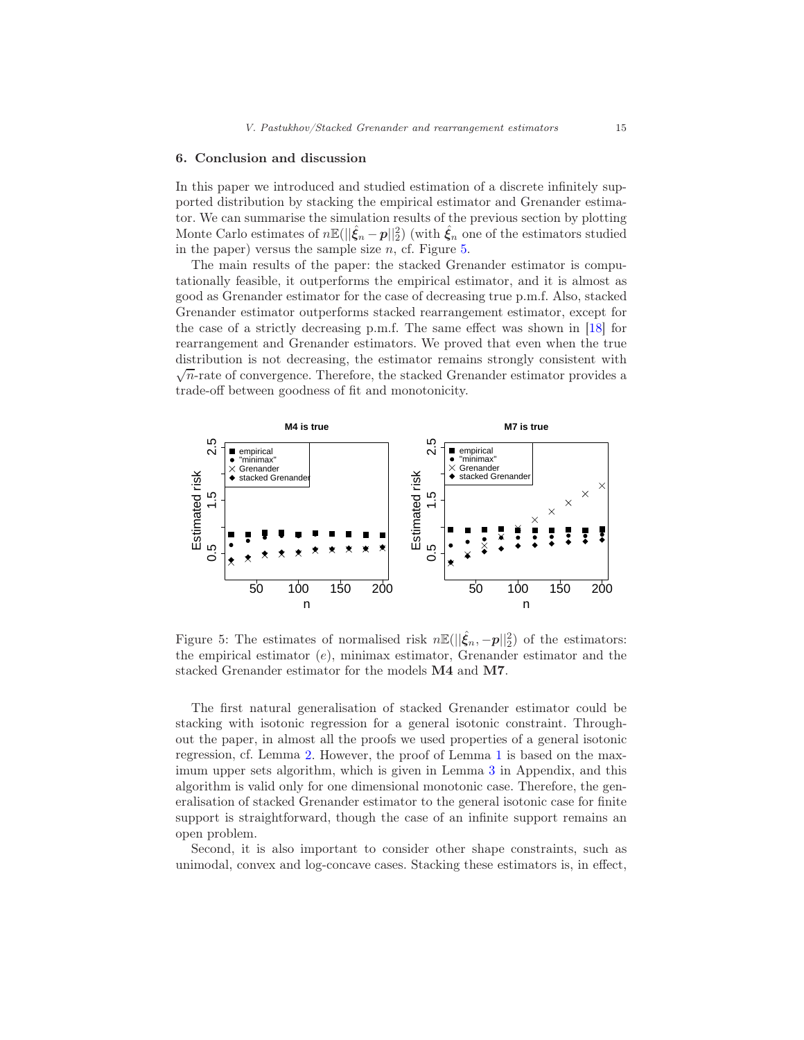#### <span id="page-15-0"></span>6. Conclusion and discussion

In this paper we introduced and studied estimation of a discrete infinitely supported distribution by stacking the empirical estimator and Grenander estimator. We can summarise the simulation results of the previous section by plotting Monte Carlo estimates of  $n\mathbb{E}(\|\hat{\xi}_n - p\|_2^2)$  (with  $\hat{\xi}_n$  one of the estimators studied in the paper) versus the sample size  $n$ , cf. Figure [5.](#page-15-1)

The main results of the paper: the stacked Grenander estimator is computationally feasible, it outperforms the empirical estimator, and it is almost as good as Grenander estimator for the case of decreasing true p.m.f. Also, stacked Grenander estimator outperforms stacked rearrangement estimator, except for the case of a strictly decreasing p.m.f. The same effect was shown in [\[18\]](#page-21-0) for rearrangement and Grenander estimators. We proved that even when the true distribution is not decreasing, the estimator remains strongly consistent with  $\sqrt{n}$ -rate of convergence. Therefore, the stacked Grenander estimator provides a trade-off between goodness of fit and monotonicity.

<span id="page-15-1"></span>

Figure 5: The estimates of normalised risk  $n\mathbb{E}(\|\hat{\xi}_n,-p\|_2^2)$  of the estimators: the empirical estimator  $(e)$ , minimax estimator, Grenander estimator and the stacked Grenander estimator for the models M4 and M7.

The first natural generalisation of stacked Grenander estimator could be stacking with isotonic regression for a general isotonic constraint. Throughout the paper, in almost all the proofs we used properties of a general isotonic regression, cf. Lemma [2.](#page-16-1) However, the proof of Lemma [1](#page-6-1) is based on the maximum upper sets algorithm, which is given in Lemma [3](#page-17-0) in Appendix, and this algorithm is valid only for one dimensional monotonic case. Therefore, the generalisation of stacked Grenander estimator to the general isotonic case for finite support is straightforward, though the case of an infinite support remains an open problem.

Second, it is also important to consider other shape constraints, such as unimodal, convex and log-concave cases. Stacking these estimators is, in effect,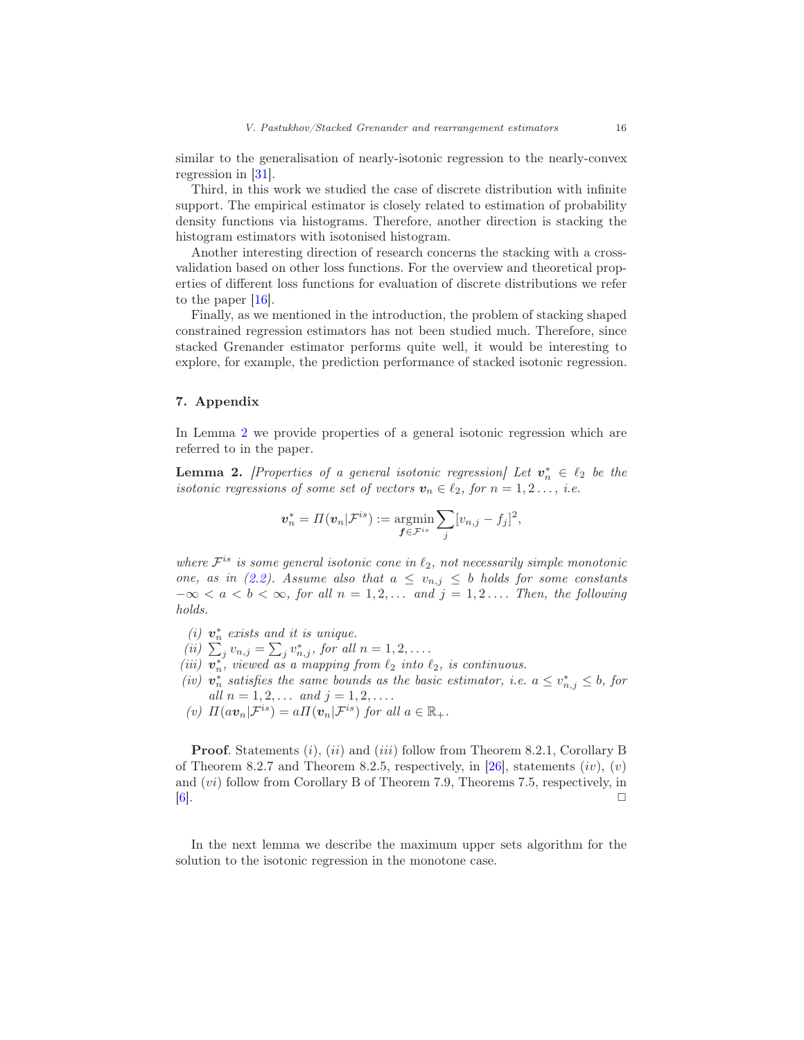similar to the generalisation of nearly-isotonic regression to the nearly-convex regression in [\[31](#page-22-0)].

Third, in this work we studied the case of discrete distribution with infinite support. The empirical estimator is closely related to estimation of probability density functions via histograms. Therefore, another direction is stacking the histogram estimators with isotonised histogram.

Another interesting direction of research concerns the stacking with a crossvalidation based on other loss functions. For the overview and theoretical properties of different loss functions for evaluation of discrete distributions we refer to the paper [\[16\]](#page-21-17).

Finally, as we mentioned in the introduction, the problem of stacking shaped constrained regression estimators has not been studied much. Therefore, since stacked Grenander estimator performs quite well, it would be interesting to explore, for example, the prediction performance of stacked isotonic regression.

#### <span id="page-16-0"></span>7. Appendix

In Lemma [2](#page-16-1) we provide properties of a general isotonic regression which are referred to in the paper.

<span id="page-16-1"></span>**Lemma 2.** *[Properties of a general isotonic regression]* Let  $v_n^* \in \ell_2$  be the *isotonic regressions of some set of vectors*  $v_n \in \ell_2$ , for  $n = 1, 2 \ldots$ , *i.e.* 

$$
\boldsymbol{v}_n^* = \boldsymbol{\varPi}(\boldsymbol{v}_n|\mathcal{F}^{is}) := \operatornamewithlimits{argmin}_{\boldsymbol{f}\in\mathcal{F}^{is}} \sum_j [v_{n,j} - f_j]^2,
$$

*where*  $\mathcal{F}^{is}$  *is some general isotonic cone in*  $\ell_2$ *, not necessarily simple monotonic one, as in [\(2.2\)](#page-2-1). Assume also that*  $a \leq v_{n,j} \leq b$  *holds for some constants*  $-\infty < a < b < \infty$ , for all  $n = 1, 2, \ldots$  and  $j = 1, 2, \ldots$  Then, the following *holds.*

- *(i)*  $v_n^*$  exists and it is unique.
- *(ii)*  $\sum_{j} v_{n,j} = \sum_{j} v_{n,j}^{*}$ , for all  $n = 1, 2, \ldots$ .
- (*iii*)  $\mathbf{v}_n^*$ , viewed as a mapping from  $\ell_2$  *into*  $\ell_2$ *, is continuous.*
- *(iv)*  $\mathbf{v}_n^*$  satisfies the same bounds as the basic estimator, i.e.  $a \leq v_{n,j}^* \leq b$ , for *all*  $n = 1, 2, \ldots$  *and*  $j = 1, 2, \ldots$
- *(v)*  $\Pi(av_n|\mathcal{F}^{is}) = a\Pi(v_n|\mathcal{F}^{is})$  *for all*  $a \in \mathbb{R}_+$ *.*

Proof. Statements (i), (ii) and (iii) follow from Theorem 8.2.1, Corollary B of Theorem 8.2.7 and Theorem 8.2.5, respectively, in [\[26](#page-21-12)], statements  $(iv)$ ,  $(v)$ and (vi) follow from Corollary B of Theorem 7.9, Theorems 7.5, respectively, in  $[6]$ .

In the next lemma we describe the maximum upper sets algorithm for the solution to the isotonic regression in the monotone case.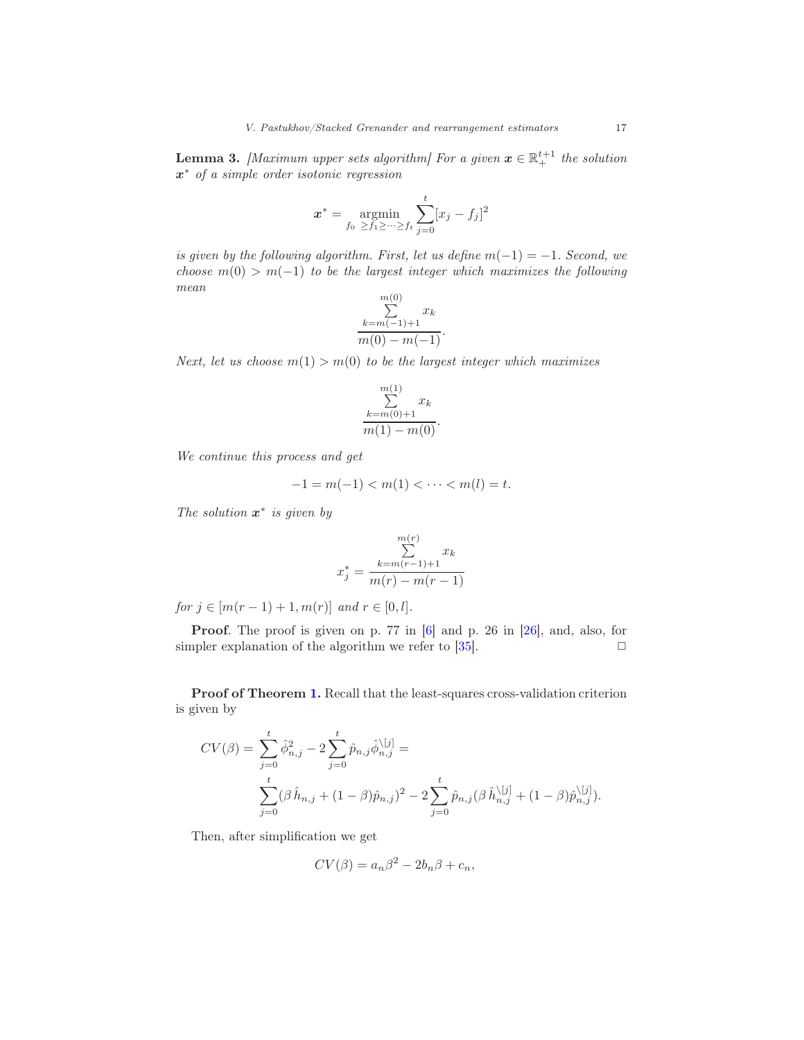<span id="page-17-0"></span>**Lemma 3.** *[Maximum upper sets algorithm]* For a given  $x \in \mathbb{R}^{t+1}$  the solution x ∗ *of a simple order isotonic regression*

$$
\boldsymbol{x}^* = \operatorname*{argmin}_{f_0 \ge f_1 \ge \dots \ge f_t} \sum_{j=0}^t [x_j - f_j]^2
$$

*is given by the following algorithm. First, let us define*  $m(-1) = -1$ *. Second, we choose*  $m(0) > m(-1)$  *to be the largest integer which maximizes the following mean*

$$
\frac{\sum_{k=m(-1)+1}^{m(0)} x_k}{m(0) - m(-1)}.
$$

*Next, let us choose*  $m(1) > m(0)$  *to be the largest integer which maximizes* 

$$
\frac{\sum_{k=m(0)+1}^{m(1)} x_k}{m(1)-m(0)}.
$$

*We continue this process and get*

$$
-1 = m(-1) < m(1) < \cdots < m(l) = t.
$$

*The solution* x ∗ *is given by*

$$
x_j^* = \frac{\sum_{k=m(r-1)+1}^{m(r)} x_k}{m(r) - m(r-1)}
$$

*for*  $j \in [m(r-1)+1, m(r)]$  *and*  $r \in [0, l]$ *.* 

Proof. The proof is given on p. 77 in [\[6](#page-20-7)] and p. 26 in [\[26\]](#page-21-12), and, also, for simpler explanation of the algorithm we refer to  $[35]$ .

Proof of Theorem [1.](#page-4-1) Recall that the least-squares cross-validation criterion is given by

$$
CV(\beta) = \sum_{j=0}^{t} \hat{\phi}_{n,j}^{2} - 2 \sum_{j=0}^{t} \hat{p}_{n,j} \hat{\phi}_{n,j}^{\backslash [j]} =
$$
  

$$
\sum_{j=0}^{t} (\beta \hat{h}_{n,j} + (1-\beta)\hat{p}_{n,j})^{2} - 2 \sum_{j=0}^{t} \hat{p}_{n,j} (\beta \hat{h}_{n,j}^{\backslash [j]} + (1-\beta)\hat{p}_{n,j}^{\backslash [j]}).
$$

Then, after simplification we get

$$
CV(\beta) = a_n \beta^2 - 2b_n \beta + c_n,
$$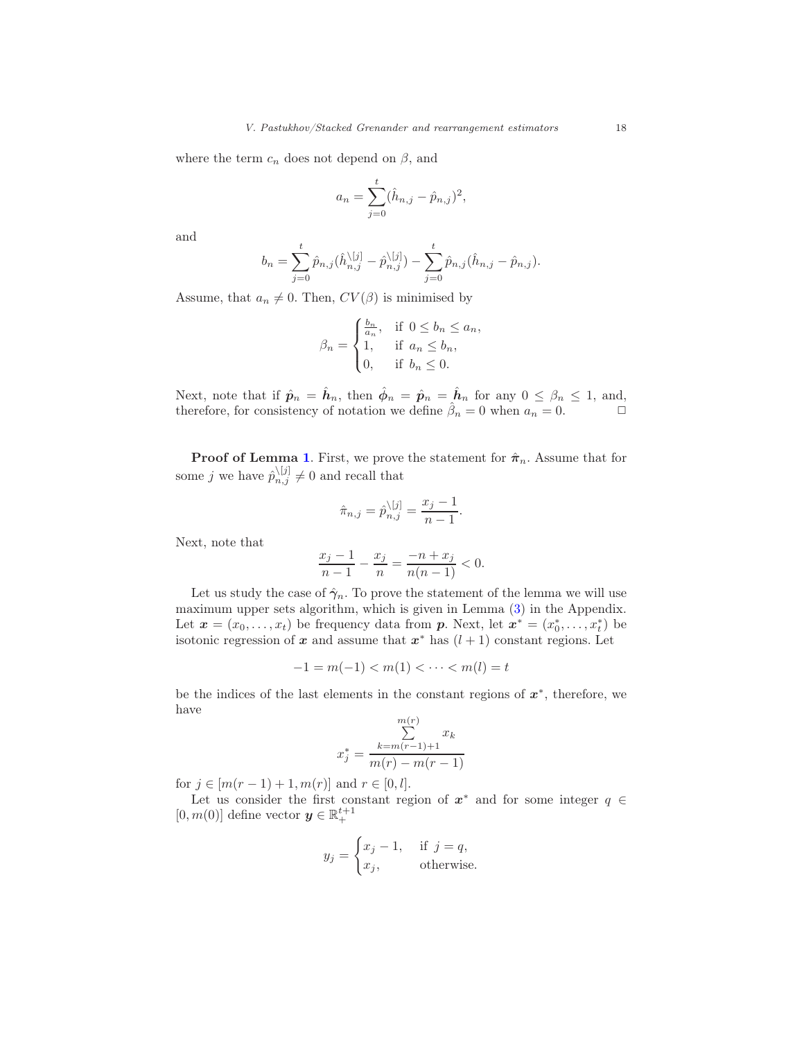where the term  $c_n$  does not depend on  $\beta$ , and

$$
a_n = \sum_{j=0}^t (\hat{h}_{n,j} - \hat{p}_{n,j})^2,
$$

and

$$
b_n = \sum_{j=0}^t \hat{p}_{n,j} (\hat{h}_{n,j}^{(j)} - \hat{p}_{n,j}^{(j)}) - \sum_{j=0}^t \hat{p}_{n,j} (\hat{h}_{n,j} - \hat{p}_{n,j}).
$$

Assume, that  $a_n \neq 0$ . Then,  $CV(\beta)$  is minimised by

$$
\beta_n = \begin{cases} \frac{b_n}{a_n}, & \text{if } 0 \le b_n \le a_n, \\ 1, & \text{if } a_n \le b_n, \\ 0, & \text{if } b_n \le 0. \end{cases}
$$

Next, note that if  $\hat{p}_n = \hat{h}_n$ , then  $\hat{\phi}_n = \hat{p}_n = \hat{h}_n$  for any  $0 \le \beta_n \le 1$ , and, therefore, for consistency of notation we define  $\hat{\beta}_n = 0$  when  $a_n = 0$ .

**Proof of Lemma [1](#page-6-1).** First, we prove the statement for  $\hat{\pi}_n$ . Assume that for some j we have  $\hat{p}_{n,j}^{\setminus [j]} \neq 0$  and recall that

$$
\hat{\pi}_{n,j} = \hat{p}_{n,j}^{\setminus [j]} = \frac{x_j - 1}{n - 1}.
$$

Next, note that

$$
\frac{x_j - 1}{n - 1} - \frac{x_j}{n} = \frac{-n + x_j}{n(n - 1)} < 0.
$$

Let us study the case of  $\hat{\gamma}_n$ . To prove the statement of the lemma we will use maximum upper sets algorithm, which is given in Lemma [\(3\)](#page-17-0) in the Appendix. Let  $\boldsymbol{x} = (x_0, \ldots, x_t)$  be frequency data from  $\boldsymbol{p}$ . Next, let  $\boldsymbol{x}^* = (x_0^*, \ldots, x_t^*)$  be isotonic regression of x and assume that  $x^*$  has  $(l + 1)$  constant regions. Let

$$
-1 = m(-1) < m(1) < \dots < m(l) = t
$$

be the indices of the last elements in the constant regions of  $x^*$ , therefore, we have  $\binom{n}{r}$ 

$$
x_{j}^{*} = \frac{\sum_{k=m(r-1)+1}^{m(r)} x_{k}}{m(r) - m(r-1)}
$$

for  $j \in [m(r-1)+1, m(r)]$  and  $r \in [0, l]$ .

Let us consider the first constant region of  $x^*$  and for some integer  $q \in$  $[0,m(0)]$  define vector  $\boldsymbol{y} \in \mathbb{R}^{t+1}_+$ 

$$
y_j = \begin{cases} x_j - 1, & \text{if } j = q, \\ x_j, & \text{otherwise.} \end{cases}
$$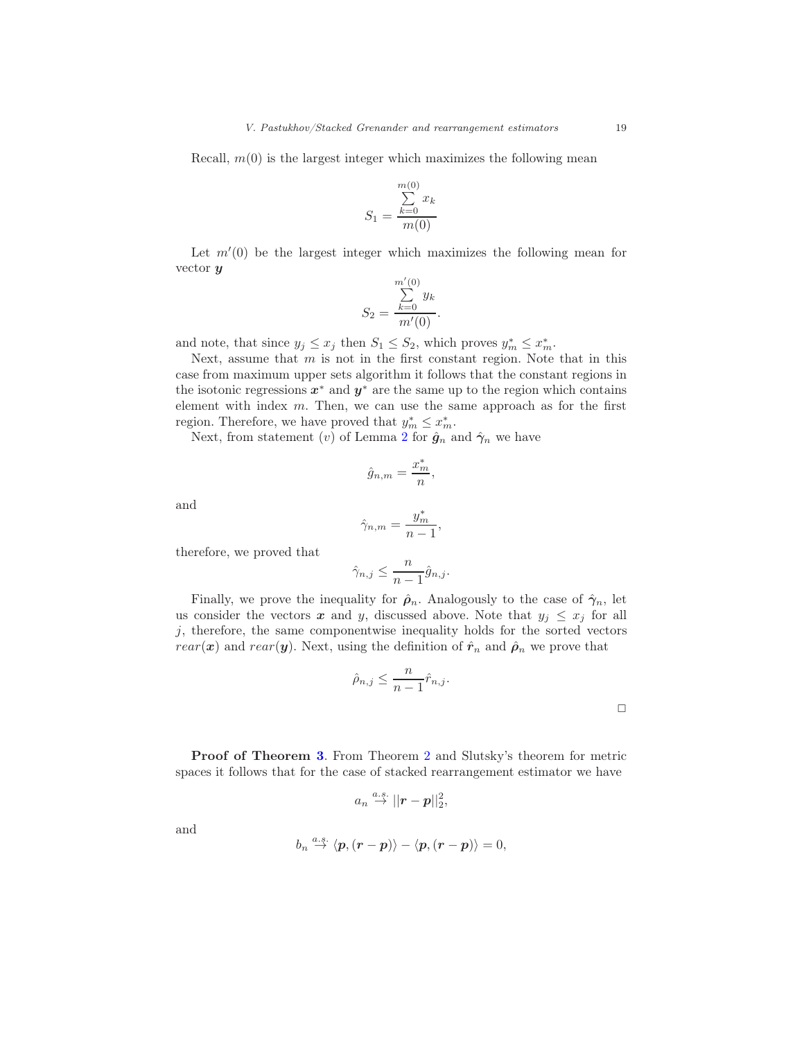Recall,  $m(0)$  is the largest integer which maximizes the following mean

$$
S_1 = \frac{\sum_{k=0}^{m(0)} x_k}{m(0)}
$$

Let  $m'(0)$  be the largest integer which maximizes the following mean for vector y

$$
S_2 = \frac{\sum_{k=0}^{m'(0)} y_k}{m'(0)}.
$$

and note, that since  $y_j \le x_j$  then  $S_1 \le S_2$ , which proves  $y_m^* \le x_m^*$ .

Next, assume that  $m$  is not in the first constant region. Note that in this case from maximum upper sets algorithm it follows that the constant regions in the isotonic regressions  $x^*$  and  $y^*$  are the same up to the region which contains element with index  $m$ . Then, we can use the same approach as for the first region. Therefore, we have proved that  $y_m^* \leq x_m^*$ .

Next, from statement (*v*) of Lemma [2](#page-16-1) for  $\hat{g}_n$  and  $\hat{\gamma}_n$  we have

$$
\hat{g}_{n,m} = \frac{x_m^*}{n},
$$

and

$$
\hat{\gamma}_{n,m} = \frac{y_m^*}{n-1},
$$

therefore, we proved that

$$
\hat{\gamma}_{n,j} \le \frac{n}{n-1} \hat{g}_{n,j}.
$$

Finally, we prove the inequality for  $\rho_n$ . Analogously to the case of  $\hat{\gamma}_n$ , let us consider the vectors x and y, discussed above. Note that  $y_j \leq x_j$  for all  $j$ , therefore, the same componentwise inequality holds for the sorted vectors  $rear(\mathbf{x})$  and  $rear(\mathbf{y})$ . Next, using the definition of  $\hat{r}_n$  and  $\hat{\rho}_n$  we prove that

$$
\hat{\rho}_{n,j} \le \frac{n}{n-1} \hat{r}_{n,j}.
$$

Proof of Theorem [3](#page-8-1). From Theorem [2](#page-6-3) and Slutsky's theorem for metric spaces it follows that for the case of stacked rearrangement estimator we have

$$
a_n \stackrel{a.s.}{\rightarrow} ||\mathbf{r} - \mathbf{p}||_2^2,
$$

and

$$
b_n\stackrel{a.s.}{\rightarrow}\langle\boldsymbol{p},(\boldsymbol{r}-\boldsymbol{p})\rangle-\langle\boldsymbol{p},(\boldsymbol{r}-\boldsymbol{p})\rangle=0,
$$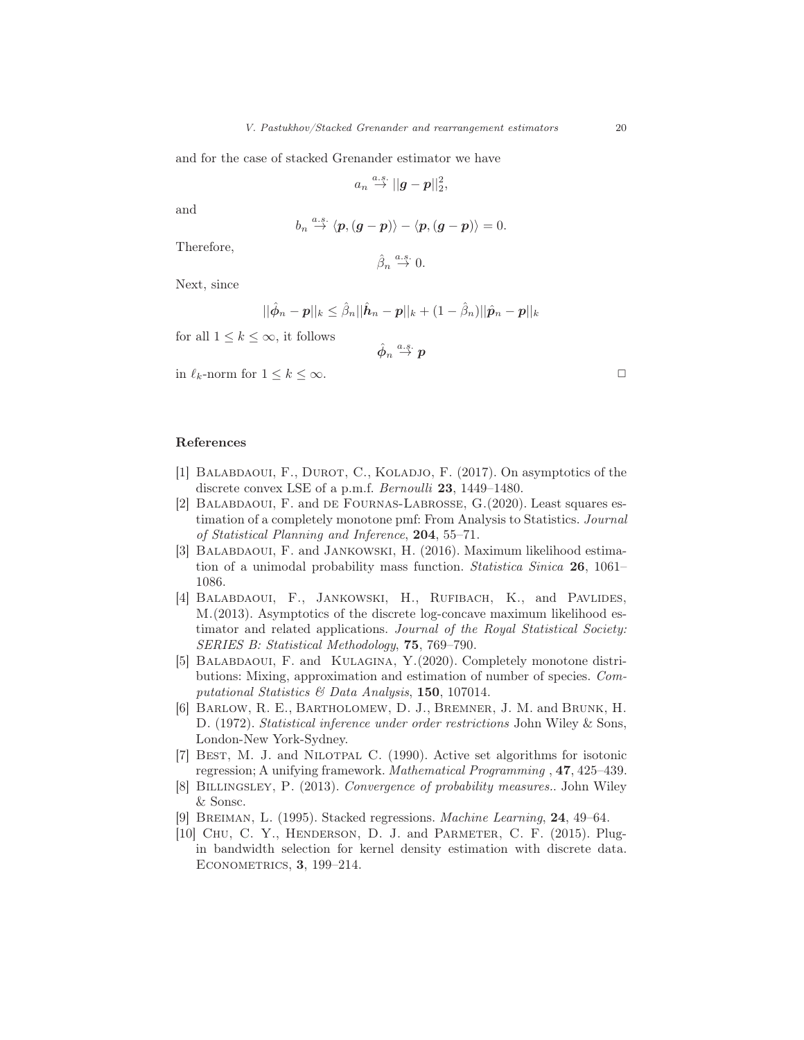and for the case of stacked Grenander estimator we have

$$
a_n \stackrel{a.s.}{\rightarrow} ||g-p||_2^2,
$$

and

$$
b_n \stackrel{a.s.}{\rightarrow} \langle p, (\mathbf{g}-\mathbf{p})\rangle - \langle \mathbf{p}, (\mathbf{g}-\mathbf{p})\rangle = 0.
$$

Therefore,

Next, since

 $\hat{\beta}_n \stackrel{a.s.}{\rightarrow} 0.$ 

$$
||\hat{\boldsymbol{\phi}}_n-\boldsymbol{p}||_k\leq\hat{\beta}_n||\hat{\boldsymbol{h}}_n-\boldsymbol{p}||_k
$$

$$
|\hat{\phi}_n - \mathbf{p}||_k \leq \hat{\beta}_n ||\hat{\mathbf{h}}_n - \mathbf{p}||_k + (1 - \hat{\beta}_n) ||\hat{\mathbf{p}}_n - \mathbf{p}||_k
$$

for all  $1 \leq k \leq \infty$ , it follows

$$
\hat{\phi}_n\stackrel{a.s.}{\rightarrow} p
$$

in  $\ell_k$ -norm for  $1 \leq k \leq \infty$ .

#### <span id="page-20-0"></span>References

- <span id="page-20-1"></span>[1] BALABDAOUI, F., DUROT, C., KOLADJO, F. (2017). On asymptotics of the discrete convex LSE of a p.m.f. *Bernoulli* 23, 1449–1480.
- <span id="page-20-4"></span>[2] Balabdaoui, F. and de Fournas-Labrosse, G.(2020). Least squares estimation of a completely monotone pmf: From Analysis to Statistics. *Journal of Statistical Planning and Inference*, 204, 55–71.
- <span id="page-20-3"></span>[3] Balabdaoui, F. and Jankowski, H. (2016). Maximum likelihood estimation of a unimodal probability mass function. *Statistica Sinica* 26, 1061– 1086.
- <span id="page-20-2"></span>[4] BALABDAOUI, F., JANKOWSKI, H., RUFIBACH, K., and PAVLIDES, M.(2013). Asymptotics of the discrete log-concave maximum likelihood estimator and related applications. *Journal of the Royal Statistical Society: SERIES B: Statistical Methodology*, 75, 769–790.
- <span id="page-20-5"></span>[5] BALABDAOUI, F. and KULAGINA, Y.(2020). Completely monotone distributions: Mixing, approximation and estimation of number of species. *Computational Statistics & Data Analysis*, 150, 107014.
- <span id="page-20-7"></span>[6] Barlow, R. E., Bartholomew, D. J., Bremner, J. M. and Brunk, H. D. (1972). *Statistical inference under order restrictions* John Wiley & Sons, London-New York-Sydney.
- <span id="page-20-8"></span>[7] Best, M. J. and Nilotpal C. (1990). Active set algorithms for isotonic regression; A unifying framework. *Mathematical Programming* , 47, 425–439.
- <span id="page-20-10"></span>[8] Billingsley, P. (2013). *Convergence of probability measures.*. John Wiley & Sonsc.
- <span id="page-20-6"></span>[9] Breiman, L. (1995). Stacked regressions. *Machine Learning*, 24, 49–64.
- <span id="page-20-9"></span>[10] CHU, C. Y., HENDERSON, D. J. and PARMETER, C. F. (2015). Plugin bandwidth selection for kernel density estimation with discrete data. Econometrics, 3, 199–214.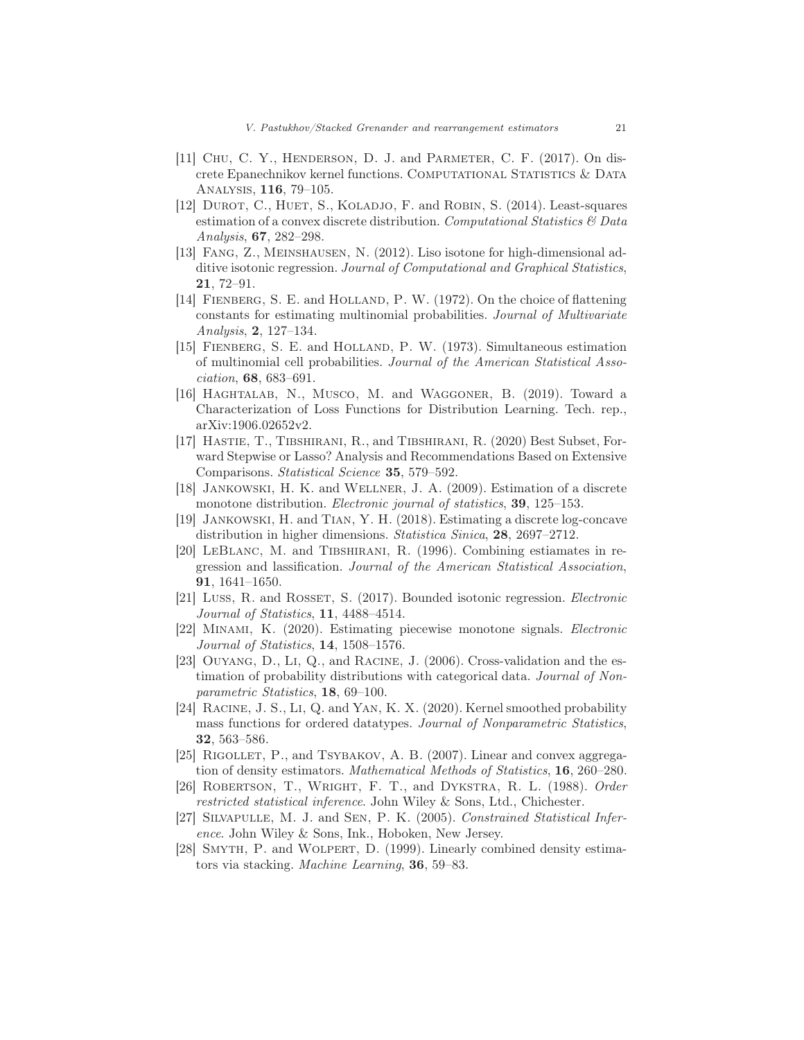- <span id="page-21-15"></span>[11] CHU, C. Y., HENDERSON, D. J. and PARMETER, C. F. (2017). On discrete Epanechnikov kernel functions. Computational Statistics & Data Analysis, 116, 79–105.
- <span id="page-21-1"></span>[12] DUROT, C., HUET, S., KOLADJO, F. and ROBIN, S. (2014). Least-squares estimation of a convex discrete distribution. *Computational Statistics & Data Analysis*, 67, 282–298.
- <span id="page-21-4"></span>[13] Fang, Z., Meinshausen, N. (2012). Liso isotone for high-dimensional additive isotonic regression. *Journal of Computational and Graphical Statistics*, 21, 72–91.
- <span id="page-21-7"></span>[14] FIENBERG, S. E. and HOLLAND, P. W. (1972). On the choice of flattening constants for estimating multinomial probabilities. *Journal of Multivariate Analysis*, 2, 127–134.
- <span id="page-21-8"></span>[15] Fienberg, S. E. and Holland, P. W. (1973). Simultaneous estimation of multinomial cell probabilities. *Journal of the American Statistical Association*, 68, 683–691.
- <span id="page-21-17"></span>[16] HAGHTALAB, N., MUSCO, M. and WAGGONER, B. (2019). Toward a Characterization of Loss Functions for Distribution Learning. Tech. rep., arXiv:1906.02652v2.
- <span id="page-21-11"></span>[17] Hastie, T., Tibshirani, R., and Tibshirani, R. (2020) Best Subset, Forward Stepwise or Lasso? Analysis and Recommendations Based on Extensive Comparisons. *Statistical Science* 35, 579–592.
- <span id="page-21-0"></span>[18] Jankowski, H. K. and Wellner, J. A. (2009). Estimation of a discrete monotone distribution. *Electronic journal of statistics*, 39, 125–153.
- <span id="page-21-2"></span>[19] Jankowski, H. and Tian, Y. H. (2018). Estimating a discrete log-concave distribution in higher dimensions. *Statistica Sinica*, 28, 2697–2712.
- <span id="page-21-6"></span>[20] LeBlanc, M. and Tibshirani, R. (1996). Combining estiamates in regression and lassification. *Journal of the American Statistical Association*, 91, 1641–1650.
- <span id="page-21-5"></span>[21] Luss, R. and Rosset, S. (2017). Bounded isotonic regression. *Electronic Journal of Statistics*, 11, 4488–4514.
- <span id="page-21-3"></span>[22] Minami, K. (2020). Estimating piecewise monotone signals. *Electronic Journal of Statistics*, 14, 1508–1576.
- <span id="page-21-14"></span>[23] Ouyang, D., Li, Q., and Racine, J. (2006). Cross-validation and the estimation of probability distributions with categorical data. *Journal of Nonparametric Statistics*, 18, 69–100.
- <span id="page-21-16"></span>[24] Racine, J. S., Li, Q. and Yan, K. X. (2020). Kernel smoothed probability mass functions for ordered datatypes. *Journal of Nonparametric Statistics*, 32, 563–586.
- <span id="page-21-10"></span>[25] Rigollet, P., and Tsybakov, A. B. (2007). Linear and convex aggregation of density estimators. *Mathematical Methods of Statistics*, 16, 260–280.
- <span id="page-21-12"></span>[26] Robertson, T., Wright, F. T., and Dykstra, R. L. (1988). *Order restricted statistical inference*. John Wiley & Sons, Ltd., Chichester.
- <span id="page-21-13"></span>[27] Silvapulle, M. J. and Sen, P. K. (2005). *Constrained Statistical Inference*. John Wiley & Sons, Ink., Hoboken, New Jersey.
- <span id="page-21-9"></span>[28] Smyth, P. and Wolpert, D. (1999). Linearly combined density estimators via stacking. *Machine Learning*, 36, 59–83.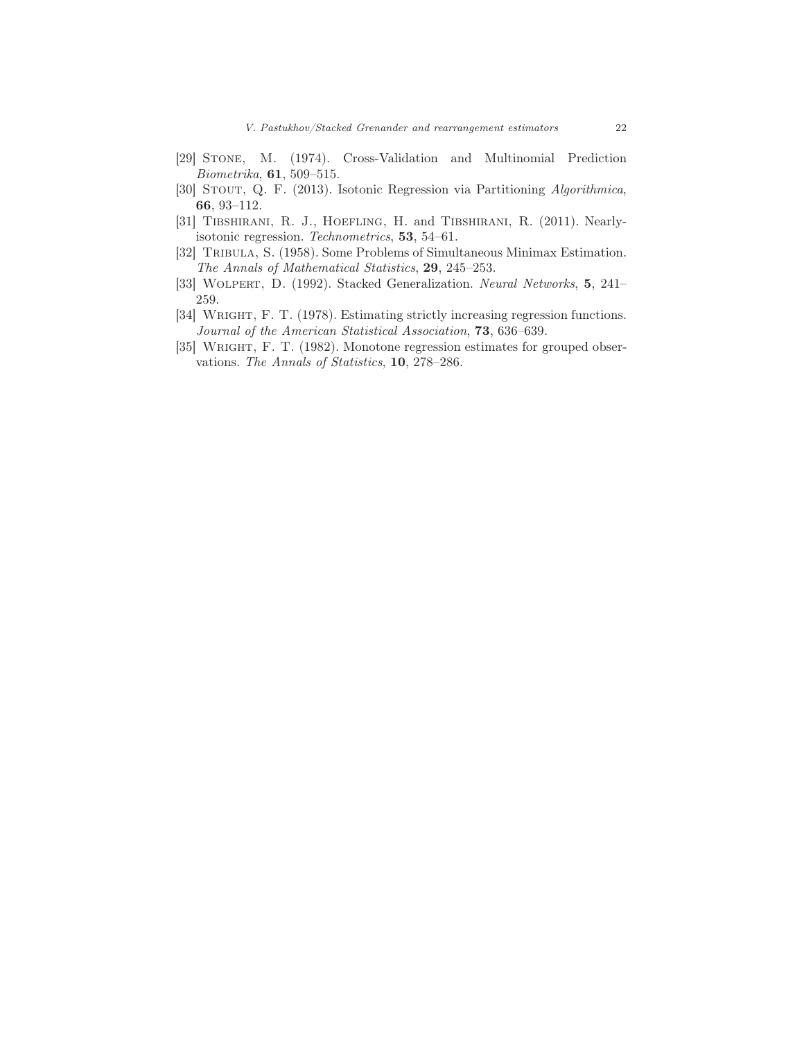- <span id="page-22-1"></span>[29] Stone, M. (1974). Cross-Validation and Multinomial Prediction *Biometrika*, 61, 509–515.
- <span id="page-22-5"></span>[30] Stout, Q. F. (2013). Isotonic Regression via Partitioning *Algorithmica*, 66, 93–112.
- <span id="page-22-0"></span>[31] TIBSHIRANI, R. J., HOEFLING, H. and TIBSHIRANI, R. (2011). Nearlyisotonic regression. *Technometrics*, 53, 54–61.
- <span id="page-22-3"></span>[32] TRIBULA, S. (1958). Some Problems of Simultaneous Minimax Estimation. *The Annals of Mathematical Statistics*, 29, 245–253.
- <span id="page-22-2"></span>[33] Wolpert, D. (1992). Stacked Generalization. *Neural Networks*, 5, 241– 259.
- <span id="page-22-4"></span>[34] WRIGHT, F. T. (1978). Estimating strictly increasing regression functions. *Journal of the American Statistical Association*, 73, 636–639.
- <span id="page-22-6"></span>[35] WRIGHT, F. T. (1982). Monotone regression estimates for grouped observations. *The Annals of Statistics*, 10, 278–286.